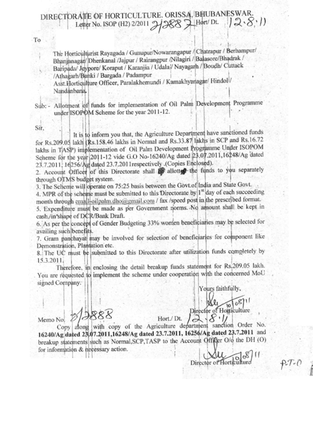## DIRECTORAITE OF HORTICULTURE. ORISSA, BHUBANESWAR.  $12.8:11$ Letter No. ISOP (H2) 2/2011

The Horticulturist Rayagada / Gunupur/Nowarangapur / Chatrapur / Berhampur/ Bhanjanagar/Dhenkanal /Jajpur / Rairangpur /Nilagiri / Balasore/Bhadrak / Baripada/ Jeypore/ Koraput / Karanjia / Udala/ Nayagarh / Boudh/ Cuttack /Athagarh/Banki / Bargada / Padampur

Asst.Horticulture Officer, Paralakhemundi / Kamakhyanagar/ Hindol1/ Nandanbana.

Allotment of funds for implementation of Oil Palm Development Programme  $Sub:$ under ISOPOM Scheme for the year 2011-12.

Sir.

To

It is to inform you that, the Agriculture Department have sanctioned funds for Rs.209.05 lakh (Rs.158.46 lakhs in Normal and Rs.33.87 lakhs in SCP and Rs.16.72 lakhs in TASP) implementation of Oil Palm Development Programme Under ISOPOM Scheme for the year 2011-12 vide G.O No-16240/Ag dated 23.07.2011,16248/Ag dated 23.7.2011, 16256/Ag dated 23.7.2011 respectively .(Copies Enclosed).

2. Account Officer of this Directorate shall if allotted the funds to you separately through OTMS budget system.

3. The Scheme will operate on 75:25 basis between the Govt.of India and State Govt.

4. MPR of the scheme must be submitted to this Directorate by 1<sup>st</sup> day of each succeeding month through email-oilpalm.dho@gmail.com / fax /speed post in the prescribed format.

5. Expenditure must be made as per Government norms. No amount shall be kept in cash./in'shape of DCR/Bank Draft.

6. As per the concept of Gender Budgeting 33% women beneficiaries may be selected for availing such benefits.

7. Gram panchayat may be involved for selection of beneficiarles for component like Demonstration, Plantation etc.

8. The UC must be submitted to this Directorate after utilization funds completely by 15.3.2011.

Therefore, in enclosing the detail breakup funds statement for Rs.209.05 lakh. You are requested to implement the scheme under cooperation with the concerned MoU signed Company. Yours faithfully,

for information & necessary action.

Memo No.

Director of Horticulture

Hort./ Dt. Copy along with copy of the Agriculture department sanction Order No. 16240/Ag dated 23.07.2011,16248/Ag dated 23.7.2011, 16256/Ag dated 23.7.2011 and breakup statements such as Normal, SCP, TASP to the Account Officer O/o the DH (O)

Director of Horticulture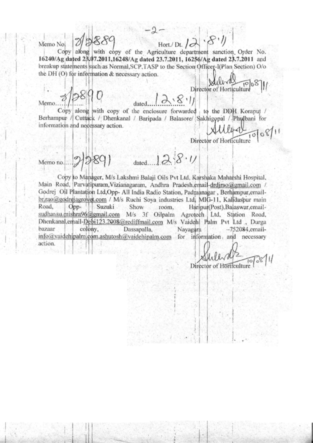Memo No.

 $8.1$ Hort./ Dt.  $\partial$ 

Copy along with copy of the Agriculture department sanction Order No. 16240/Ag dated 23.07.2011,16248/Ag dated 23.7.2011, 16256/Ag dated 23.7.2011 and breakup statements such as Normal, SCP, TASP to the Section Officer-I(Plan Section) O/o the DH (O) for information & necessary action.

Memo..

dated

Copy along with copy of the enclosure forwarded to the DDH Koraput / Berhampur / Cuttack / Dhenkanal / Baripada / Balasore/ Sakhigopal / Phulbani for information and necessary action.

Director of Horticulture

 $1008$ 

Director of Horticulture

 $128.11$ dated.... Memo no.

Copy to Manager, M/s Lakshmi Balaji Oils Pvt Ltd, Karshaka Maharshi Hospital, Main Road, Parvatipuram, Vizianagaram, Andhra Pradesh, email-drdjrao@gmail.com / Godrej Oil Plantation Ltd, Opp- All India Radio Station, Padmanagar, Berhampur, emailbr.rao@godrejagrovet.com / M/s Ruchi Soya industries Ltd. MIG-11, Kalidaspur main Road,  $Opp-$ Suzuki Show room. Haripur(Post), Balaswar, emailsudhansu.mishra96@gmail.com M/s 3f Oilpalm Agrotech Ltd, Station Road, Dhenkanal, erhail-Debi123.2008@rediffmail.com M/s Vaidehi Palm Pvt Ltd., Durga bazaar colony, Dassapalla, Nayagara  $-752084$ , emailinfo@vaidehipalm.com,ashutosh@vaidehipalm.com for information and necessary action.

Director of Horticulture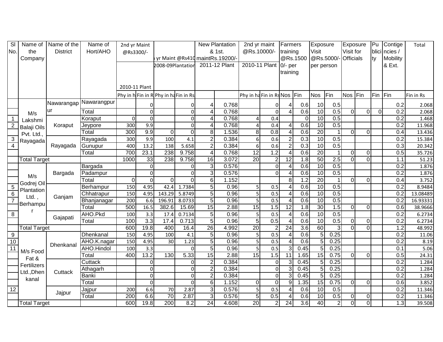| SI               | Name of             | Name of the     | Name of      | 2nd yr Maint  |                  |                                    |                |                          | <b>New Plantation</b>           | 2nd yr maint                |                  | Farmers                  |                  | Exposure        |                | <b>Exposure</b>         |                         | <b>Pu</b> | Contige          | Total     |
|------------------|---------------------|-----------------|--------------|---------------|------------------|------------------------------------|----------------|--------------------------|---------------------------------|-----------------------------|------------------|--------------------------|------------------|-----------------|----------------|-------------------------|-------------------------|-----------|------------------|-----------|
| No.              | the                 | <b>District</b> | Hort/AHO     | @Rs3300/-     |                  |                                    |                |                          | & 1st.                          | @Rs.10000/-                 |                  | training                 |                  | Visit           |                | Visit for               |                         |           | blici ncies /    |           |
|                  | Company             |                 |              |               |                  |                                    |                |                          | yr Maint @Rs410 maintRs.19200/- |                             |                  |                          | @Rs.1500         | @Rs.5000/       |                | <b>Officials</b>        |                         | ty        | Mobility         |           |
|                  |                     |                 |              |               |                  | 2008-09Plantation                  |                |                          | 2011-12 Plant                   | 2010-11 Plant               |                  | $0$ - per                |                  | per person      |                |                         |                         |           | & Ext.           |           |
|                  |                     |                 |              |               |                  |                                    |                |                          |                                 |                             |                  | training                 |                  |                 |                |                         |                         |           |                  |           |
|                  |                     |                 |              |               |                  |                                    |                |                          |                                 |                             |                  |                          |                  |                 |                |                         |                         |           |                  |           |
|                  |                     |                 |              | 2010-11 Plant |                  |                                    |                |                          |                                 |                             |                  |                          |                  |                 |                |                         |                         |           |                  |           |
|                  |                     |                 |              |               |                  | Phy in hFin in RPhy in hafin in Rs |                |                          |                                 | Phy in ha Fin in Rs Nos Fin |                  |                          |                  | <b>Nos</b>      | Fin            | Nos Fin                 |                         | Fin       | Fin              | Fin in Rs |
|                  |                     | Nawarangap      | Nawarangpur  |               | $\Omega$         |                                    | 0              |                          | 0.768                           |                             | $\Omega$         |                          | 0.6              | 10              | 0.5            |                         |                         |           | 0.2              | 2.068     |
|                  | M/s                 | ur              | Total        |               | $\overline{0}$   |                                    | $\overline{0}$ | $\boldsymbol{\Delta}$    | 0.768                           |                             | $\mathbf 0$      | Δ                        | 0.6              | 10              | 0.5            | $\overline{\mathsf{o}}$ | $\overline{0}$          | $\Omega$  | $\overline{0.2}$ | 2.068     |
| $\overline{1}$   | Lakshmi             |                 | Koraput      | $\Omega$      | $\Omega$         |                                    | $\overline{0}$ | 4                        | 0.768                           | 4                           | 0.4              |                          | $\mathbf 0$      | 10              | 0.5            |                         |                         |           | 0.2              | 1.468     |
| $\overline{2}$   | <b>Balaji Oils</b>  | Koraput         | Jeypore      | 300           | 9.9              |                                    | $\Omega$       | $\overline{\mathcal{A}}$ | 0.768                           | $\Delta$                    | 0.4              | 4                        | 0.6              | $\overline{10}$ | 0.5            |                         |                         |           | 0.2              | 11.968    |
|                  | Pvt. Ltd.,          |                 | Total        | 300           | 9.9              | $\Omega$                           | $\Omega$       | 8 <sup>1</sup>           | 1.536                           | 8                           | 0.8              | 4                        | 0.6              | $\overline{20}$ | 1              | $\Omega$                | $\Omega$                |           | 0.4              | 13.436    |
| 3                | Rayagada            |                 | Rayagada     | 300           | 9.9              | 100                                | 4.1            | $\overline{2}$           | 0.384                           | 6 <sup>1</sup>              | 0.6              | $\overline{2}$           | 0.3              | 10              | 0.5            |                         |                         |           | 0.2              | 15.384    |
| $\overline{4}$   |                     | Rayagada        | Gunupur      | 400           | 13.2             | 138                                | 5.658          | $\overline{2}$           | 0.384                           | $6 \mid$                    | 0.6              | $\overline{2}$           | 0.3              | $\overline{10}$ | 0.5            |                         |                         |           | 0.3              | 20.342    |
|                  |                     |                 | Total        | 700           | 23.1             | 238                                | 9.758          | 4                        | 0.768                           | $\overline{12}$             | 1.2              | 4                        | 0.6              | 20              | $\mathbf{1}$   | $\mathbf 0$             | $\mathbf 0$             |           | 0.5              | 35.726    |
|                  | <b>Total Target</b> |                 |              | 1000          | 33               | 238                                | 9.758          | $\overline{16}$          | 3.072                           | 20                          | $\overline{2}$   | 12                       | 1.8              | 50              | 2.5            | $\overline{\mathsf{o}}$ | $\overline{\mathsf{o}}$ |           | 1.1              | 51.23     |
|                  |                     |                 | Bargada      |               | $\overline{0}$   |                                    | $\Omega$       | 3                        | 0.576                           |                             | $\Omega$         | 4                        | 0.6              | $\overline{10}$ | 0.5            |                         |                         |           | 0.2              | 1.876     |
|                  | M/s                 | Bargada         | Padampur     |               | $\overline{0}$   |                                    | $\Omega$       | $\overline{3}$           | 0.576                           |                             | $\Omega$         | 4                        | 0.6              | 10              | 0.5            |                         |                         |           | $\overline{0.2}$ | 1.876     |
|                  | Godrej Oil          |                 | Total        | $\Omega$      | $\overline{0}$   | $\Omega$                           | $\Omega$       | $6 \mid$                 | 1.152                           |                             |                  | 8                        | 1.2              | $\overline{20}$ | $\mathbf 1$    | $\Omega$                | $\overline{0}$          |           | 0.4              | 3.752     |
| 5                | Plantation          |                 | Berhampur    | 150           | 4.95             | 42.4                               | 1.7384         | 5 <sub>1</sub>           | 0.96                            | 5                           | 0.5              | 4                        | 0.6              | $\overline{10}$ | 0.5            |                         |                         |           | 0.2              | 8.9484    |
| 6                | $Ltd.$ ,            | Ganjam          | Chhatrapur   | 150           | 4.95             | 143.29                             | 5.8749         | 5 <sub>l</sub>           | 0.96                            | 5                           | 0.5              | $\overline{4}$           | 0.6              | 10              | 0.5            |                         |                         |           | $\overline{0.2}$ | 13.08489  |
| $\overline{7}$   | Berhampu            |                 | Bhanjanagar  | 200           | 6.6              | 196.91                             | 8.0733         | 5 <sup>1</sup>           | 0.96                            | $\overline{5}$              | 0.5              | $\overline{4}$           | 0.6              | 10              | 0.5            |                         |                         |           | 0.2              | 16.93331  |
|                  |                     |                 | Total        | 500           | 16.5             | 382.6                              | 15.69          | 15                       | 2.88                            | 15                          | 1.5              | 12                       | 1.8              | 30              | 1.5            | $\mathbf 0$             | $\Omega$                |           | 0.6              | 38.9666   |
| 8                |                     | Gajapati        | AHO.Pkd      | 100           | $\overline{3.3}$ | 17.4                               | 0.7134         | $\overline{5}$           | 0.96                            | 5 <sup>1</sup>              | 0.5              | 4                        | 0.6              | 10              | 0.5            |                         |                         |           | 0.2              | 6.2734    |
|                  |                     |                 | Total        | 100           | 3.3              | 17.4                               | 0.713          | $\overline{5}$           | 0.96                            | 5 <sup>5</sup>              | 0.5              | $\overline{\mathbf{A}}$  | 0.6              | 10              | 0.5            | $\mathbf 0$             | $\mathbf 0$             |           | $\overline{0.2}$ | 6.2734    |
|                  | <b>Total Target</b> |                 |              | 600           | 19.8             | 400                                | 16.4           | 26                       | 4.992                           | 20                          | $\overline{2}$   | $\overline{24}$          | 3.6              | 60              | 3              | $\Omega$                | $\Omega$                |           | $\overline{1.2}$ | 48.992    |
| $\boldsymbol{9}$ |                     |                 | Dhenkanal    | 150           | 4.95             | 100                                | 4.1            | 5 <sup>1</sup>           | 0.96                            | $\overline{5}$              | $\overline{0.5}$ | $\overline{\mathcal{A}}$ | 0.6              | 5               | 0.25           |                         |                         |           | $\overline{0.2}$ | 11.06     |
| 10               |                     | Dhenkanal       | AHO.K.nagar  | 150           | 4.95             | 30                                 | 1.23           | 5 <sup>1</sup>           | 0.96                            | 5                           | 0.5              | $\overline{\mathcal{A}}$ | 0.6              | 5               | 0.25           |                         |                         |           | 0.2              | 8.19      |
| $\overline{11}$  | M/s Food            |                 | AHO.Hindol   | 100           | $\overline{3.3}$ |                                    | $\overline{0}$ | 5 <sub>l</sub>           | 0.96                            | 5 <sup>1</sup>              | $\overline{0.5}$ | 3                        | 0.45             | $\overline{5}$  | 0.25           |                         |                         |           | $\overline{0.1}$ | 5.06      |
|                  | Fat &               |                 | Total        | 400           | 13.2             | 130                                | 5.33           | 15                       | 2.88                            | 15                          | 1.5              | $\overline{11}$          | 1.65             | $\overline{15}$ | 0.75           | $\Omega$                | $\Omega$                |           | 0.5              | 24.31     |
|                  | Fertilizers         |                 | Cuttack      |               | $\overline{0}$   |                                    | $\Omega$       | $\overline{2}$           | 0.384                           |                             | $\mathbf 0$      | $\mathbf{3}$             | 0.45             | 5               | 0.25           |                         |                         |           | 0.2              | 1.284     |
|                  | Ltd., Dhen          | Cuttack         | Athagarh     |               | $\overline{0}$   |                                    | $\overline{0}$ | $\overline{2}$           | 0.384                           |                             | $\overline{0}$   | $\overline{3}$           | 0.45             | $\overline{5}$  | 0.25           |                         |                         |           | 0.2              | 1.284     |
|                  | kanal               |                 | <b>Banki</b> |               | $\overline{0}$   |                                    | $\overline{0}$ | $\overline{2}$           | 0.384                           |                             | $\Omega$         | 3                        | 0.45             | $\overline{5}$  | 0.25           |                         |                         |           | 0.2              | 1.284     |
|                  |                     |                 | Total        |               | $\overline{0}$   |                                    | $\Omega$       | $6 \mid$                 | 1.152                           | $\Omega$                    | $\overline{0}$   | $\overline{9}$           | 1.35             | $\overline{15}$ | 0.75           | $\Omega$                | $\mathbf 0$             |           | 0.6              | 3.852     |
| 12               |                     | Jajpur          | Jajpur       | 200           | 6.6              | $\overline{70}$                    | 2.87           | $\vert$ 3                | 0.576                           | 5                           | 0.5              | Δ                        | 0.6              | 10              | 0.5            |                         |                         |           | $\overline{0.2}$ | 11.346    |
|                  |                     |                 | Total        | 200           | 6.6              | $\overline{70}$                    | 2.87           | $\mathbf{3}$             | 0.576                           | 5 <sub>l</sub>              | 0.5              | 4                        | 0.6              | 10              | 0.5            | $\mathbf 0$             | $\mathbf 0$             |           | 0.2              | 11.346    |
|                  | <b>Total Target</b> |                 |              | 600           | 19.8             | 200                                | 8.2            | $\overline{24}$          | 4.608                           | 20                          | $\overline{2}$   | $\overline{24}$          | $\overline{3.6}$ | 40              | $\overline{2}$ | $\overline{0}$          | $\Omega$                |           | 1.3              | 39.508    |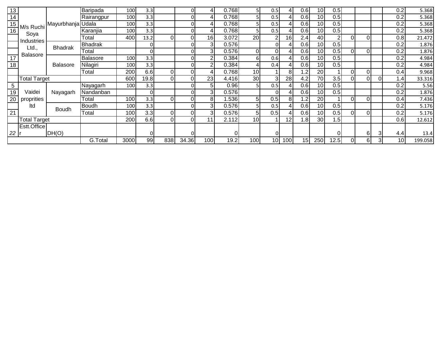| 13              |                     |                   | Baripada        | 100  | 3.3  |     | 0     |                        | 0.768 | 51              | 0.5             | 4              | 0.6 | 10              | 0.5            |          |    |   | 0.2  | 5.368   |
|-----------------|---------------------|-------------------|-----------------|------|------|-----|-------|------------------------|-------|-----------------|-----------------|----------------|-----|-----------------|----------------|----------|----|---|------|---------|
| 14              |                     |                   | Rairangpur      | 100  | 3.3  |     | 0     |                        | 0.768 | 51              | 0.5             |                | 0.6 | 10              | 0.5            |          |    |   | 0.2  | 5.368   |
| 15              | M/s Ruchi           | Mayurbhanja Udala |                 | 100  | 3.3  |     | 0     |                        | 0.768 |                 | 0.5             |                | 0.6 | 10 <sup>1</sup> | 0.5            |          |    |   | 0.2  | 5.368   |
| 16              | Soya                |                   | Karanjia        | 100  | 3.3  |     | 0     |                        | 0.768 |                 | 0.5             |                | 0.6 | 10              | 0.5            |          |    |   | 0.2  | 5.368   |
|                 | Industries          |                   | Гоtal           | 400  | 13.2 |     | Οl    | 16                     | 3.072 | 20              | C               | 16             | 2.4 | 40              | $\overline{2}$ | Οl       | Οl |   | 0.8  | 21.472  |
|                 | Ltd.,               | <b>Bhadrak</b>    | <b>Bhadrak</b>  |      |      |     | 0     | 31                     | 0.576 |                 | ΩI              |                | 0.6 | 10 <sub>1</sub> | 0.5            |          |    |   | 0.2  | 1.876   |
|                 | <b>Balasore</b>     |                   | Total           |      | ΩI   |     | 0     | 31                     | 0.576 | Οl              | ΩI              |                | 0.6 | 10              | 0.5            | $\Omega$ | 0I |   | 0.2  | 1.876   |
| 17              |                     |                   | <b>Balasore</b> | 100  | 3.3  |     | 0     | $\mathsf{2}\mathsf{l}$ | 0.384 | 61              | 0.6             |                | 0.6 | 10              | 0.5            |          |    |   | 0.2  | 4.984   |
| 18              |                     | Balasore          | Nilagiri        | 100  | 3.3  |     | 0     | 21                     | 0.384 |                 | 0.4             |                | 0.6 | 10 <sup>1</sup> | 0.5            |          |    |   | 0.2  | 4.984   |
|                 |                     |                   | Total           | 200  | 6.6  | 01  | 0     |                        | 0.768 | 10 <sub>1</sub> |                 | 8              | .2  | 20              |                | Οl       | 0I |   | 0.4  | 9.968   |
|                 | <b>Total Target</b> |                   |                 | 600  | 19.8 | ΩI  | Οl    | 23                     | 4.416 | 30              | 3 <sub>l</sub>  | 28             | 4.2 | 70              | 3.5            | Οl       | 0I |   | 4. ا | 33.316  |
| 5               |                     |                   | Nayagarh        | 100  | 3.3  |     | 0     | 51                     | 0.96  | 51              | 0.5             |                | 0.6 | 10 <sup>1</sup> | 0.5            |          |    |   | 0.2  | 5.56    |
| 19              | Vaidei              | Nayagarh          | Nandanban       |      |      |     | 0     | 3I                     | 0.576 |                 | ΩI              |                | 0.6 | 10 <sub>1</sub> | 0.5            |          |    |   | 0.2  | 1.876   |
| 20 <sub>1</sub> | proprities          |                   | Гоtal           | 100  | 3.3  | ΩI  | 0     | 8 <sup>1</sup>         | .536  | 51              | 0.5             | 8 <sup>1</sup> | .2  | 20              |                | Οl       | ΩI |   | 0.4  | 7.436   |
|                 | ltd                 | <b>Boudh</b>      | <b>Boudh</b>    | 100  | 3.3  |     | 0     | 31                     | 0.576 |                 | 0.5             |                | 0.6 | 10 <sub>1</sub> | 0.5            |          |    |   | 0.2  | 5.176   |
| 21              |                     |                   | Total           | 100  | 3.3  | 01  | 0     | 31                     | 0.576 | 51              | 0.5             |                | 0.6 | 10 <sub>1</sub> | 0.5            | Οl       | ΟI |   | 0.2  | 5.176   |
|                 | <b>Total Target</b> |                   |                 | 200  | 6.6  | 01  | Οl    |                        | 2.112 | 10 <sub>1</sub> |                 | 12             | .8  | 30 <sub>l</sub> | .5             |          |    |   | 0.6  | 12.612  |
|                 | Estt.Office         |                   |                 |      |      |     |       |                        |       |                 |                 |                |     |                 |                |          |    |   |      |         |
| $22$ r          |                     | DH(O)             |                 |      |      |     | 0     |                        | 0     |                 | ΩI              |                |     |                 | $\Omega$       |          | 61 | 3 | 4.4  | 13.4    |
|                 |                     |                   | G.Total         | 3000 | 99   | 838 | 34.36 | 100                    | 19.2  | 100             | 10 <sup>1</sup> | 100            | 15  | 250             | 12.5           | Οl       | 61 |   | 10I  | 199.058 |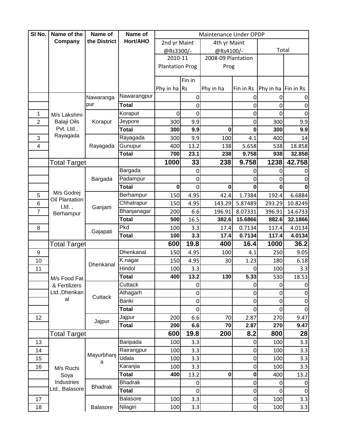| SI No.         | Name of the                | Name of         | Name of         |                        |                  | Maintenance Under OPDP |             |                     |             |
|----------------|----------------------------|-----------------|-----------------|------------------------|------------------|------------------------|-------------|---------------------|-------------|
|                | Company                    | the District    | Hort/AHO        | 2nd yr Maint           |                  | 4th yr Maint           |             |                     |             |
|                |                            |                 |                 | @Rs3300/-              |                  | @Rs4100/-              |             | Total               |             |
|                |                            |                 |                 | 2010-11                |                  | 2008-09 Plantation     |             |                     |             |
|                |                            |                 |                 | <b>Plantation Prog</b> |                  | Prog                   |             |                     |             |
|                |                            |                 |                 |                        | Fin in           |                        |             |                     |             |
|                |                            |                 |                 | Phy in ha Rs           |                  | Phy in ha              | Fin in Rs   | Phy in ha Fin in Rs |             |
|                |                            | Nawaranga       | Nawarangpur     |                        | 0                |                        | 0           | 0                   |             |
|                |                            | pur             | <b>Total</b>    |                        | 0                |                        | 0           | 0                   | 0           |
| 1              | M/s Lakshmi                |                 | Koraput         | 0                      | 0                |                        | $\mathbf 0$ | 0                   | 0           |
| $\overline{2}$ | <b>Balaji Oils</b>         | Koraput         | Jeypore         | 300                    | 9.9              |                        | 0           | 300                 | 9.9         |
|                | Pvt. Ltd.,                 |                 | <b>Total</b>    | 300                    | 9.9              | 0                      | $\mathbf 0$ | 300                 | 9.9         |
| 3              | Rayagada                   |                 | Rayagada        | 300                    | 9.9              | 100                    | 4.1         | 400                 | 14          |
| $\overline{4}$ |                            | Rayagada        | Gunupur         | 400                    | 13.2             | 138                    | 5.658       | 538                 | 18.858      |
|                |                            |                 | <b>Total</b>    | 700                    | 23.1             | 238                    | 9.758       | 938                 | 32.858      |
|                | <b>Total Target</b>        |                 |                 | 1000                   | 33               | 238                    | 9.758       | 1238                | 42.758      |
|                |                            |                 | Bargada         |                        | 0                |                        | 0           | 0                   |             |
|                |                            | Bargada         | Padampur        |                        | 0                |                        | 0           | 0                   | 0           |
|                |                            |                 | <b>Total</b>    | $\mathbf{0}$           | 0                | 0                      | $\mathbf 0$ | 0                   |             |
| 5              | M/s Godrej                 |                 | Berhampur       | 150                    | 4.95             | 42.4                   | 1.7384      | 192.4               | 6.6884      |
| 6              | Oil Plantation<br>$Ltd.$ , |                 | Chhatrapur      | 150                    | 4.95             | 143.29                 | 5.87489     | 293.29              | 10.8249     |
| $\overline{7}$ | Berhampur                  | Ganjam          | Bhanjanagar     | 200                    | 6.6              | 196.91                 | 8.07331     | 396.91              | 14.6733     |
|                |                            |                 | <b>Total</b>    | 500                    | 16.5             | 382.6                  | 15.6866     | 882.6               | 32.1866     |
| 8              |                            | Gajapati        | Pkd             | 100                    | 3.3              | 17.4                   | 0.7134      | 117.4               | 4.0134      |
|                |                            |                 | <b>Total</b>    | 100                    | 3.3              | 17.4                   | 0.7134      | 117.4               | 4.0134      |
|                | <b>Total Target</b>        |                 |                 | 600                    | 19.8             | 400                    | 16.4        | 1000                | 36.2        |
| 9              |                            |                 | Dhenkanal       | 150                    | 4.95             | 100                    | 4.1         | 250                 | 9.05        |
| 10             |                            | Dhenkanal       | K.nagar         | 150                    | 4.95             | 30                     | 1.23        | 180                 | 6.18        |
| 11             |                            |                 | Hindol          | 100                    | 3.3              |                        | 0           | 100                 | 3.3         |
|                | M/s Food Fat               |                 | <b>Total</b>    | 400                    | 13.2             | 130                    | 5.33        | 530                 | 18.53       |
|                | & Fertilizers              |                 | Cuttack         |                        | $\pmb{0}$        |                        | $\pmb{0}$   | $\overline{0}$      | $\pmb{0}$   |
|                | Ltd., Dhenkan              | Cuttack         | Athagarh        |                        | $\boldsymbol{0}$ |                        | $\mathbf 0$ | $\overline{0}$      | $\pmb{0}$   |
|                | al                         |                 | Banki           |                        | $\pmb{0}$        |                        | $\mathbf 0$ | 0                   | $\pmb{0}$   |
|                |                            |                 | <b>Total</b>    |                        | 0                |                        | $\mathbf 0$ | 0                   | $\pmb{0}$   |
| 12             |                            | Jajpur          | Jajpur          | 200                    | 6.6              | 70                     | 2.87        | 270                 | 9.47        |
|                |                            |                 | <b>Total</b>    | 200                    | 6.6              | 70                     | 2.87        | 270                 | 9.47        |
|                | <b>Total Target</b>        |                 |                 | 600                    | 19.8             | 200                    | 8.2         | 800                 | 28          |
| 13             |                            |                 | Baripada        | 100                    | 3.3              |                        | 0           | 100                 | 3.3         |
| 14             |                            | Mayurbhanj<br>a | Rairangpur      | 100                    | 3.3              |                        | $\mathbf 0$ | 100                 | 3.3         |
| 15             |                            |                 | Udala           | 100                    | 3.3              |                        | $\mathbf 0$ | 100                 | 3.3         |
| 16             | M/s Ruchi                  |                 | Karanjia        | 100                    | 3.3              |                        | $\mathbf 0$ | 100                 | 3.3         |
|                | Soya                       |                 | <b>Total</b>    | 400                    | 13.2             | 0                      | $\mathbf 0$ | 400                 | 13.2        |
|                | Industries                 | <b>Bhadrak</b>  | <b>Bhadrak</b>  |                        | 0                |                        | $\pmb{0}$   | 0                   | 0           |
|                | Ltd., Balasore             |                 | <b>Total</b>    |                        | $\boldsymbol{0}$ |                        | $\mathbf 0$ | $\overline{0}$      | $\mathbf 0$ |
| 17             |                            |                 | <b>Balasore</b> | 100                    | 3.3              |                        | $\mathbf 0$ | 100                 | 3.3         |
| 18             |                            | Balasore        | Nilagiri        | 100                    | 3.3              |                        | $\mathbf 0$ | 100                 | 3.3         |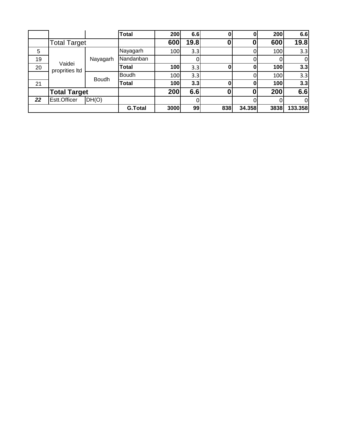|    |                          |              | <b>Total</b>   | 200  | 6.6  | O   |        | 200        | 6.6            |
|----|--------------------------|--------------|----------------|------|------|-----|--------|------------|----------------|
|    | <b>Total Target</b>      |              |                | 600  | 19.8 |     | 0      | 600        | 19.8           |
| 5  |                          |              | Nayagarh       | 100  | 3.3  |     |        | 100        | 3.3            |
| 19 |                          | Nayagarh     | Nandanban      |      |      |     |        |            | $\overline{0}$ |
| 20 | Vaidei<br>proprities Itd |              | Total          | 100  | 3.3  |     |        | 100        | 3.3            |
|    |                          | <b>Boudh</b> | <b>Boudh</b>   | 100  | 3.3  |     |        | 100        | 3.3            |
| 21 |                          |              | Total          | 100  | 3.3  | N   |        | <b>100</b> | 3.3            |
|    | <b>Total Target</b>      |              |                | 200  | 6.6  |     | 0      | 200        | 6.6            |
| 22 | Estt.Officer             | DH(O)        |                |      |      |     |        |            | 0              |
|    |                          |              | <b>G.Total</b> | 3000 | 99   | 838 | 34.358 | 3838       | 133.358        |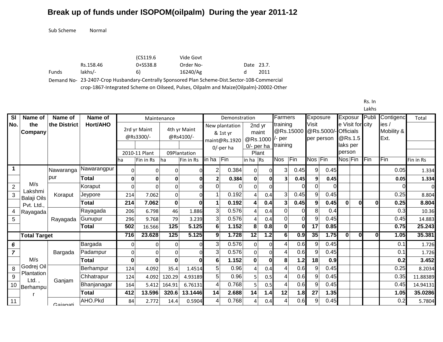Sub Scheme Normal

|              |           | (CS119.6 | Vide Govt                                                                                     |            |      |
|--------------|-----------|----------|-----------------------------------------------------------------------------------------------|------------|------|
|              | Rs.158.46 | 0+SS38.8 | Order No-                                                                                     | Date 23.7. |      |
| <b>Funds</b> | lakhs/-   | 6)       | 16240/Ag                                                                                      |            | 2011 |
|              |           |          | Demand No- 23-2407-Crop Husbandary-Centrally Sponsored Plan Scheme-Dist.Sector-108-Commercial |            |      |

crop-1867-Integrated Scheme on Oilseed, Pulses, Oilpalm and Maize(Oilpalm)-20002-Other

Rs. In Lakhs

| SI                      | Name of                       | Name of      | Name of      |              |                            | Maintenance |                           |                          | Demonstration              |                |                             | Farmers         |           | Exposure        |                                   |          | Exposur                     | Publi       | Contigenc                   | Total     |
|-------------------------|-------------------------------|--------------|--------------|--------------|----------------------------|-------------|---------------------------|--------------------------|----------------------------|----------------|-----------------------------|-----------------|-----------|-----------------|-----------------------------------|----------|-----------------------------|-------------|-----------------------------|-----------|
| No.                     | the<br>Company                | the District | Hort/AHO     |              | 2rd vr Maint<br>@Rs3300/-  |             | 4th vr Maint<br>@Rs4100/- |                          | New plantation<br>& 1st yr |                | 2nd yr<br>maint<br>@Rs.1000 | training<br>per | @Rs.15000 | Visit           | @Rs.5000/-Officials<br>per person |          | e Visit for city<br>@Rs.1.5 |             | ies /<br>Mobility &<br>Ext. |           |
|                         |                               |              |              |              |                            |             |                           |                          | maint@Rs.1920<br>0/-per ha |                | $0$ /- per ha               | training        |           |                 |                                   | person   | laks per                    |             |                             |           |
|                         |                               |              |              | ha           | 2010-11 Plant<br>Fin in Rs | ha          | 09Plantation<br>Fin in Rs | in ha                    | Fin                        | in ha $ Rs$    | Plant                       | <b>Nos</b>      | Fin       | Nos Fin         |                                   |          | Nos Fin                     | Fin         | Fin                         | Fin in Rs |
| $\overline{\mathbf{1}}$ |                               | Nawaranga    | Nawarangpur  | 0            | 0                          | 0           |                           | 2                        | 0.384                      | $\overline{0}$ | $\Omega$                    | 3               | 0.45      | 9               | 0.45                              |          |                             |             | 0.05                        | 1.334     |
|                         |                               | pur          | Total        | $\mathbf{0}$ | $\mathbf{0}$               | 0           |                           |                          | 0.384                      | $\mathbf{0}$   | $\Omega$                    |                 | 0.45      | 9               | 0.45                              |          |                             |             | 0.05                        | 1.334     |
| 2                       | M/s                           |              | Koraput      | $\Omega$     | $\Omega$                   | 0           |                           | $\Omega$                 | 0                          | $\Omega$       | $\Omega$                    |                 |           | $\mathbf 0$     |                                   |          |                             |             | 0                           | 0         |
| 3                       | Lakshmi<br><b>Balaji Oils</b> | Koraput      | Jeypore      | 214          | 7.062                      | 0           |                           |                          | 0.192                      | 4              | 0.4                         | $\mathbf{3}$    | 0.45      | 9               | 0.45                              |          |                             |             | 0.25                        | 8.804     |
|                         | Pvt. Ltd.                     |              | <b>Total</b> | 214          | 7.062                      | $\mathbf 0$ |                           |                          | 0.192                      | 4              | 0.4                         | 3               | 0.45      | 9 <sup>1</sup>  | 0.45                              | $\bf{0}$ | N                           | $\mathbf 0$ | 0.25                        | 8.804     |
|                         | Rayagada                      |              | Rayagada     | 206          | 6.798                      | 46          | 1.886                     | $\mathbf{3}$             | 0.576                      | 4              | 0.4                         | $\Omega$        |           | 8               | 0.4                               |          |                             |             | 0.3                         | 10.36     |
| 5                       |                               | Rayagada     | Gunupur      | 296          | 9.768                      | 79          | 3.239                     | 3                        | 0.576                      |                | 0.4                         | $\Omega$        |           | 9               | 0.45                              |          |                             |             | 0.45                        | 14.883    |
|                         |                               |              | Total        | 502          | 16.566                     | 125         | 5.125                     | $6 \mid$                 | 1.152                      | 8              | 0.8                         | $\mathbf{0}$    |           | $\overline{17}$ | 0.85                              |          |                             |             | 0.75                        | 25.243    |
|                         | <b>Total Target</b>           |              |              | 716          | 23.628                     | 125         | 5.125                     | 9                        | 1.728                      | 12             | $\cdot$ .2<br>1             | 61              | 0.9       | 35              | 1.75                              | 0        |                             |             | 1.05                        | 35.381    |
| 6                       |                               |              | Bargada      | 0            | $\mathbf{0}$               | 0           |                           | $\mathbf{3}$             | 0.576                      | $\overline{0}$ | $\Omega$                    |                 | 0.6       | 9               | 0.45                              |          |                             |             | 0.1                         | 1.726     |
| $\overline{7}$          |                               | Bargada      | Padampur     | 0            | $\Omega$                   | $\Omega$    |                           | 3                        | 0.576                      | $\Omega$       | $\Omega$                    |                 | 0.6       | 9               | 0.45                              |          |                             |             | 0.1                         | 1.726     |
|                         | M/s                           |              | <b>Total</b> | $\bf{0}$     | $\bf{0}$                   | $\bf{0}$    |                           | 6                        | 1.152                      | $\mathbf 0$    | $\bf{0}$                    | 8 <sup>1</sup>  | 1.2       | 18              | 0.9                               |          |                             |             | 0.2                         | 3.452     |
| 8                       | Godrej Oil<br>Plantation      |              | Berhampur    | 124          | 4.092                      | 35.4        | 1.4514                    | 5 <sup>1</sup>           | 0.96                       | 4              | 0.4                         | Δ               | 0.6       | 9               | 0.45                              |          |                             |             | 0.25                        | 8.2034    |
| 9                       | $Ltd.$ ,                      | Ganjam       | Chhatrapur   | 124          | 4.092                      | 120.29      | 4.93189                   | 5 <sup>1</sup>           | 0.96                       |                | 0.5                         | 4               | 0.6       | 9               | 0.45                              |          |                             |             | 0.35                        | 11.88389  |
| 10                      | Berhampul                     |              | Bhanjanagar  | 164          | 5.412                      | 164.91      | 6.76131                   | $\overline{\mathcal{L}}$ | 0.768                      |                | 0.5                         |                 | 0.6       | 9               | 0.45                              |          |                             |             | 0.45                        | 14.94131  |
|                         |                               |              | <b>Total</b> | 412          | 13.596                     | 320.6       | 13.1446                   | 14                       | 2.688                      | 14             | 1.4                         | 12              | 1.8       | 27              | 1.35                              |          |                             |             | 1.05                        | 35.0286   |
| 11                      |                               | Gaianati     | AHO.Pkd      | 84           | 2.772                      | 14.4        | 0.5904                    | 4                        | 0.768                      | 4              | 0.4                         |                 | 0.6       | 9               | 0.45                              |          |                             |             | 0.2                         | 5.7804    |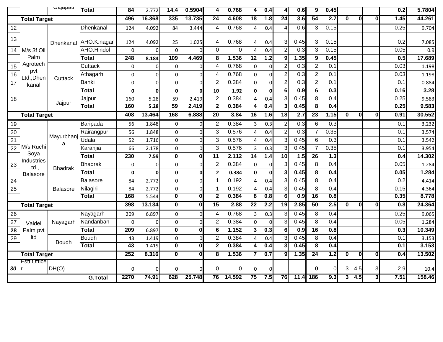|                 |                     | <b>Jajapau</b>  | Total          | 84              | 2.772        | 14.4                    | 0.5904       | 4                       | 0.768    | 4                       | 0.4         | 4                | 0.6              | 9                  | 0.45   |                         |                         |              | 0.2              | 5.7804 |
|-----------------|---------------------|-----------------|----------------|-----------------|--------------|-------------------------|--------------|-------------------------|----------|-------------------------|-------------|------------------|------------------|--------------------|--------|-------------------------|-------------------------|--------------|------------------|--------|
|                 | <b>Total Target</b> |                 |                | 496             | 16.368       | 335                     | 13.735       | 24                      | 4.608    | $\overline{18}$         | 1.8         | 24               | 3.6              | 54                 | 2.7    | 0                       | $\bf{0}$                | $\mathbf{0}$ | 1.45             | 44.261 |
| 12              |                     |                 | Dhenkanal      | 124             | 4.092        | 84                      | 3.444        | 4                       | 0.768    | 4                       | 0.4         | $\overline{4}$   | 0.6              | 3                  | 0.15   |                         |                         |              | 0.25             | 9.704  |
| 13              |                     |                 |                |                 |              |                         |              |                         |          |                         |             |                  |                  |                    |        |                         |                         |              |                  |        |
|                 |                     | Dhenkanal       | AHO.K.nagar    | 124             | 4.092        | 25                      | 1.025        | $\overline{4}$          | 0.768    | 4                       | 0.4         | 3                | 0.45             | $\mathbf{3}$       | 0.15   |                         |                         |              | 0.2              | 7.085  |
| 14              | M/s 3f Oil          |                 | AHO.Hindol     | $\Omega$        | $\Omega$     | $\Omega$                |              | $\mathbf 0$             | $\Omega$ | $\Delta$                | 0.4         | $\overline{2}$   | 0.3              | $\overline{3}$     | 0.15   |                         |                         |              | 0.05             | 0.9    |
|                 | Palm                |                 | <b>Total</b>   | 248             | 8.184        | 109                     | 4.469        | 8                       | 1.536    | 12                      | 1.2         | 9                | 1.35             | $\mathbf{9}$       | 0.45   |                         |                         |              | 0.5              | 17.689 |
| 15              | Agrotech<br>pvt     |                 | Cuttack        | 0               | $\mathbf 0$  | $\mathbf 0$             |              | $\overline{4}$          | 0.768    | 0                       | $\Omega$    | $\overline{2}$   | 0.3              | $\overline{2}$     | 0.1    |                         |                         |              | 0.03             | 1.198  |
| 16              | Ltd., Dhen          | Cuttack         | Athagarh       | $\Omega$        | $\Omega$     | $\overline{0}$          |              | $\overline{4}$          | 0.768    | οl                      | O           | $\overline{c}$   | 0.3              | $\overline{2}$     | 0.1    |                         |                         |              | 0.03             | 1.198  |
| $\overline{17}$ | kanal               |                 | Banki          | $\overline{0}$  | $\Omega$     | $\mathbf 0$             |              | $\overline{2}$          | 0.384    | $\Omega$                | U           | $\boldsymbol{2}$ | 0.3              | $\overline{2}$     | 0.1    |                         |                         |              | 0.1              | 0.884  |
|                 |                     |                 | <b>Total</b>   | 0               | $\mathbf{0}$ | $\mathbf 0$             | n            | 10                      | 1.92     | 0                       | $\mathbf 0$ | $6\phantom{1}6$  | 0.9              | 6                  | 0.3    |                         |                         |              | 0.16             | 3.28   |
| 18              |                     |                 | Jajpur         | 160             | 5.28         | 59                      | 2.419        | $\overline{2}$          | 0.384    |                         | 0.4         | 3                | 0.45             | 8 <sup>1</sup>     | 0.4    |                         |                         |              | 0.25             | 9.583  |
|                 |                     | Jajpur          | <b>Total</b>   | 160             | 5.28         | $\overline{59}$         | 2.419        | $\mathbf{2}$            | 0.384    | 4                       | 0.4         | 3                | 0.45             | $\overline{\bf 8}$ | 0.4    |                         |                         |              | 0.25             | 9.583  |
|                 | <b>Total Target</b> |                 |                | 408             | 13.464       | 168                     | 6.888        | 20                      | 3.84     | 16                      | 1.6         | 18               | 2.7              | 23                 | 1.15   | $\overline{\mathbf{0}}$ | $\overline{\mathbf{0}}$ | 0            | 0.91             | 30.552 |
| 19              |                     |                 | Baripada       | 56              | 1.848        | $\Omega$                |              | $\overline{2}$          | 0.384    | 3                       | 0.3         | $\overline{2}$   | 0.3              | $6\vert$           | 0.3    |                         |                         |              | 0.1              | 3.232  |
| 20              |                     |                 | Rairangpur     | 56              | 1.848        | $\overline{0}$          | $\Omega$     | 3                       | 0.576    | 4                       | 0.4         | $\overline{2}$   | 0.3              | 7                  | 0.35   |                         |                         |              | 0.1              | 3.574  |
| 21              |                     | Mayurbhanj      | Udala          | 52              | 1.716        | $\mathbf 0$             |              | 3                       | 0.576    | $\Delta$                | 0.4         | 3                | 0.45             | 6 <sup>1</sup>     | 0.3    |                         |                         |              | 0.1              | 3.542  |
| 22              | M/s Ruchi           | a               | Karanjia       | 66              | 2.178        | $\mathbf 0$             | $\Omega$     | 3                       | 0.576    | 3                       | 0.3         | 3                | 0.45             | $\overline{7}$     | 0.35   |                         |                         |              | 0.1              | 3.954  |
|                 | Soya                |                 | <b>Total</b>   | 230             | 7.59         | $\bf{0}$                | 0            | 11                      | 2.112    | 14                      | 1.4         | 10               | 1.5              | 26                 | $1.3$  |                         |                         |              | 0.4              | 14.302 |
| 23              | Industries<br>Ltd., |                 | <b>Bhadrak</b> | $\mathbf{0}$    | $\Omega$     | $\Omega$                |              | $\overline{2}$          | 0.384    | Ωl                      | $\Omega$    | 3                | 0.45             | 8 <sup>°</sup>     | 0.4    |                         |                         |              | 0.05             | 1.284  |
|                 | <b>Balasore</b>     | <b>Bhadrak</b>  | <b>Total</b>   | 0               | $\mathbf{0}$ | $\mathbf 0$             | ŋ            | $\overline{2}$          | 0.384    | 0                       | $\mathbf 0$ | $\mathbf{3}$     | 0.45             | 8 <sup>1</sup>     | 0.4    |                         |                         |              | 0.05             | 1.284  |
| 24              |                     |                 | Balasore       | 84              | 2.772        | $\mathbf 0$             | <sup>n</sup> | $\overline{\mathbf{1}}$ | 0.192    | $\Delta$                | 0.4         | 3                | 0.45             | $\bf{8}$           | 0.4    |                         |                         |              | 0.2              | 4.414  |
| 25              |                     | <b>Balasore</b> | Nilagiri       | 84              | 2.772        | $\mathbf 0$             | $\Omega$     | $\overline{1}$          | 0.192    | $\Delta$                | 0.4         | 3                | 0.45             | 8 <sup>1</sup>     | 0.4    |                         |                         |              | 0.15             | 4.364  |
|                 |                     |                 | <b>Total</b>   | 168             | 5.544        | $\overline{\mathbf{0}}$ | 0            | $\mathbf{2}$            | 0.384    | $\overline{\mathbf{8}}$ | 0.8         | $\overline{6}$   | $\overline{0.9}$ | $\overline{16}$    | 0.8    |                         |                         |              | 0.35             | 8.778  |
|                 | <b>Total Target</b> |                 |                | 398             | 13.134       | 0                       | O            | 15                      | 2.88     | $\overline{22}$         | 2.2         | 19               | 2.85             | 50                 | 2.5    | 0                       | $\overline{\mathbf{0}}$ | O            | 0.8              | 24.364 |
| 26              |                     |                 | Nayagarh       | 209             | 6.897        | $\Omega$                | $\Omega$     | 4                       | 0.768    | 3                       | 0.3         | 3                | 0.45             | 8 <sup>1</sup>     | 0.4    |                         |                         |              | 0.25             | 9.065  |
| 27              | Vaidei              | Nayagarh        | Nandanban      | $\Omega$        | $\Omega$     | $\overline{0}$          |              | $\overline{2}$          | 0.384    | $\Omega$                | $\Omega$    | 3                | 0.45             | 8 <sup>1</sup>     | 0.4    |                         |                         |              | 0.05             | 1.284  |
| 28              | Palm pvt            |                 | <b>Total</b>   | 209             | 6.897        | $\bf{0}$                | 0            | 6                       | 1.152    | 3                       | 0.3         | $6\phantom{1}6$  | 0.9              | 16                 | 0.8    |                         |                         |              | 0.3              | 10.349 |
| 29              | Itd                 |                 | Boudh          | 43              | 1.419        | $\overline{0}$          | ΩI           | $\overline{2}$          | 0.384    | 4                       | 0.4         | 3                | 0.45             | 8 <sup>1</sup>     | 0.4    |                         |                         |              | 0.1              | 3.153  |
|                 |                     | Boudh           | <b>Total</b>   | $\overline{43}$ | 1.419        | $\overline{\mathbf{0}}$ | U            | $\overline{2}$          | 0.384    | 4                       | 0.4         | 3                | 0.45             | $\overline{\bf 8}$ | 0.4    |                         |                         |              | $\overline{0.1}$ | 3.153  |
|                 | <b>Total Target</b> |                 |                | 252             | 8.316        | 0                       | Ol           | $\overline{\mathbf{8}}$ | 1.536    |                         | 0.7         | 9                | 1.35             | 24                 | 1.2    | $ \mathbf{0} $          | $\overline{0}$          | 0            | 0.4              | 13.502 |
|                 | Estt.Office         |                 |                |                 |              |                         |              |                         |          |                         |             |                  |                  |                    |        |                         |                         |              |                  |        |
| 30              |                     | DH(O)           |                | 0               | $\bf{0}$     | $\Omega$                |              | 0                       | $\Omega$ | 0                       | $\Omega$    |                  |                  | $\mathbf{0}$       | $\cap$ | 3                       | 4.5                     | 3            | 2.9              | 10.4   |
|                 |                     |                 | <b>G.Total</b> | 2270            | 74.91        | 628                     | 25.748       | 76                      | 14.592   | 75                      | 7.5         | 76               | 11.4             | 186                | 9.3    | 3                       | 4.5                     | 3            | 7.51             | 158.46 |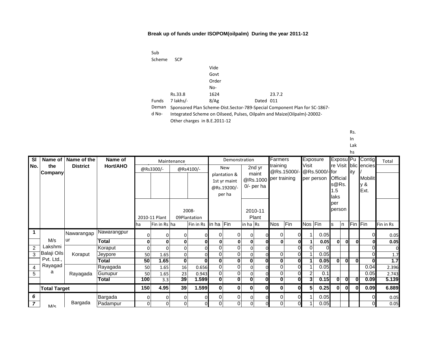| Sub          |            |       |                                                                            |
|--------------|------------|-------|----------------------------------------------------------------------------|
| Scheme       | <b>SCP</b> |       |                                                                            |
|              |            | Vide  |                                                                            |
|              |            | Govt  |                                                                            |
|              |            | Order |                                                                            |
|              |            | No-   |                                                                            |
|              | Rs.33.8    | 1624  | 23.7.2                                                                     |
| <b>Funds</b> | 7 lakhs/   | 8/Ag  | Dated 011                                                                  |
| Deman        |            |       | Sponsored Plan Scheme-Dist. Sector-789-Special Component Plan for SC-1867- |

d No-Integrated Scheme on Oilseed, Pulses, Oilpalm and Maize(Oilpalm)-20002- Other charges in B.E.2011-12

Rs.

In

Lak

|                |                     |                             |              |          |               |                |                       |                |                                                       |              |                                   |              |             |                |                             |             |                          | hs  |                               |           |
|----------------|---------------------|-----------------------------|--------------|----------|---------------|----------------|-----------------------|----------------|-------------------------------------------------------|--------------|-----------------------------------|--------------|-------------|----------------|-----------------------------|-------------|--------------------------|-----|-------------------------------|-----------|
| <b>SI</b>      |                     | Name of $\vert$ Name of the | Name of      |          |               | Maintenance    |                       |                | Demonstration                                         |              |                                   | Farmers      |             |                | Exposure                    |             | Exposu <sup>Pu</sup>     |     | Contigl                       | Total     |
| No.            | the                 | <b>District</b>             | Hort/AHO     |          | @Rs3300/-     |                | @Rs4100/-             |                | <b>New</b>                                            |              | 2nd yr                            | training     |             | Visit          |                             |             |                          |     | re Visit blic encies          |           |
|                | Company             |                             |              |          |               |                |                       |                | plantation &<br>1st yr maint<br>@Rs.19200/-<br>per ha |              | maint<br>@Rs.1000<br>$0$ - per ha | per training | @Rs.15000/- |                | @Rs.5000/-for<br>per person | 1.5<br>laks | Official<br>s@Rs.        | ity | <b>Mobilit</b><br>y &<br>Ext. |           |
|                |                     |                             |              |          | 2010-11 Plant |                | 2008-<br>09Plantation |                |                                                       |              | 2010-11<br>Plant                  |              |             |                |                             | per         | person                   |     |                               |           |
|                |                     |                             |              | ha       | Fin in Rs lha |                | Fin in Rs in ha Fin   |                |                                                       | in ha $ Rs$  |                                   | <b>Nos</b>   | Fin         | Nos Fin        |                             | s           | In.                      |     | Fin Fin                       | Fin in Rs |
| $\mathbf 1$    |                     | Nawarangap                  | Nawarangpur  | U        | $\Omega$      | 0              |                       | 0              | 0                                                     | $\Omega$     |                                   | $\Omega$     |             |                | 0.05                        |             |                          |     |                               | 0.05      |
|                | M/s                 | ur                          | <b>Total</b> | 0        | 0             | 0              |                       | $\mathbf{0}$   | 0                                                     | $\mathbf{0}$ |                                   | $\mathbf{0}$ | Οl          |                | 0.05                        |             | ٥I<br><sup>n</sup>       |     |                               | 0.05      |
| $\overline{2}$ | Lakshmi             |                             | Koraput      | $\Omega$ | $\Omega$      | $\overline{0}$ |                       | 0              | 0                                                     | $\mathbf 0$  |                                   |              | $\Omega$    | $\Omega$       |                             |             |                          |     |                               |           |
| 3              | Balaji Oils         | Koraput                     | Jeypore      | 50       | 1.65          | $\overline{0}$ |                       | $\Omega$       | $\overline{0}$                                        | $\Omega$     |                                   | $\Omega$     |             |                | 0.05                        |             |                          |     |                               | 1.7       |
|                | Pvt. Ltd.,          |                             | Total        | 50       | 1.65          | $\bf{0}$       |                       | $\mathbf{0}$   | $\bf{0}$                                              | $\mathbf{0}$ | $\mathbf 0$                       | $\bf{0}$     | 0l          |                | 0.05                        |             | $\bf{0}$<br>$\mathbf{0}$ | n   | $\Omega$                      | 1.7       |
| 4              | Rayagad             |                             | Rayagada     | 50       | 1.65          | 16             | 0.656                 | $\Omega$       | 0                                                     | $\Omega$     |                                   | $\Omega$     | $\Omega$    |                | 0.05                        |             |                          |     | 0.04                          | 2.396     |
| 5              | a                   | Rayagada                    | Gunupur      | 50       | 1.65          | 23             | 0.943                 | $\Omega$       | 0                                                     | $\Omega$     |                                   | $\Omega$     | $\Omega$    | $\overline{2}$ | 0.1                         |             |                          |     | 0.05                          | 2.743     |
|                |                     |                             | <b>Total</b> | 100      | 3.3           | 39             | 1.599                 | $\overline{0}$ | $\overline{\mathbf{0}}$                               | $\mathbf{0}$ | O                                 | $\bf{0}$     | 0           | 3              | 0.15                        |             | $\bf{0}$<br>$\bf{0}$     |     | 0.09                          | 5.139     |
|                | <b>Total Target</b> |                             |              | 150      | 4.95          | 39             | 1.599                 | $\mathbf{0}$   | $\mathbf{0}$                                          | $\mathbf{0}$ | $\bf{0}$                          | 0            | 0l          | 5              | 0.25                        |             | $\mathbf{0}$<br>ΩI       |     | 0.09                          | 6.889     |
| 6              |                     |                             | Bargada      | 0        | $\Omega$      | $\Omega$       |                       | 0              | 0                                                     | 0            |                                   | $\Omega$     | ΩI          |                | 0.05                        |             |                          |     |                               | 0.05      |
| $\overline{7}$ | M/c                 | Bargada                     | Padampur     | U        | $\Omega$      | $\Omega$       | U                     | $\mathbf 0$    | $\overline{0}$                                        | $\Omega$     |                                   | $\Omega$     | $\Omega$    |                | 0.05                        |             |                          |     |                               | 0.05      |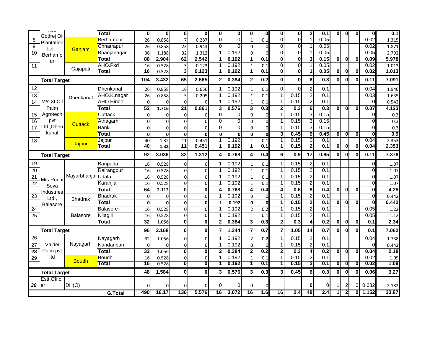|                 | כ וועו<br>Godrei Oil     |                 | <b>Total</b>   | 0                     | 0                 | 0                       | 0                           | 0                       | 0              | 0               | O              | 0                       | $\mathbf 0$    | 2                       | 0.1              | 0            | $\bf{0}$          | $\bf{0}$                |                | 0.1            |
|-----------------|--------------------------|-----------------|----------------|-----------------------|-------------------|-------------------------|-----------------------------|-------------------------|----------------|-----------------|----------------|-------------------------|----------------|-------------------------|------------------|--------------|-------------------|-------------------------|----------------|----------------|
| 8               | Plantation               |                 | Berhampur      | 26                    | 0.858             | $\overline{7}$          | 0.287                       | $\Omega$                | $\Omega$       | $\mathbf{1}$    | 0.1            | 0                       | $\Omega$       | 1                       | 0.05             |              |                   |                         | 0.02           | 1.315          |
| $\overline{9}$  | Ltd.                     |                 | Chhatrapur     | 26                    | 0.858             | 23                      | 0.943                       | $\overline{0}$          | $\overline{0}$ | $\Omega$        | U              | 0                       | $\overline{0}$ | 1                       | 0.05             |              |                   |                         | 0.02           | 1.871          |
| 10              | Berhamp                  | Ganjam          | Bhanjanagar    | 36                    | 1.188             | 32                      | 1.312                       | $\mathbf{1}$            | 0.192          | $\Omega$        |                | 0                       | $\mathbf{0}$   | 1                       | 0.05             |              |                   |                         | 0.05           | 2.792          |
|                 | ur                       |                 | <b>Total</b>   | 88                    | 2.904             | 62                      | 2.542                       | 1                       | 0.192          | 1               | 0.1            | $\mathbf 0$             | $\bf{0}$       | 3                       | 0.15             | $\mathbf{0}$ | $\bf{0}$          | $\mathbf 0$             | 0.09           | 5.978          |
| 11              |                          |                 | AHO.Pkd        | 16                    | 0.528             | 3                       | 0.123                       | 1                       | 0.192          | $\mathbf{1}$    | 0.1            | 0                       | $\Omega$       |                         | 0.05             |              |                   |                         | 0.02           | 1.013          |
|                 |                          | Gajapati        | <b>Total</b>   | 16                    | 0.528             | 3                       | 0.123                       | $\overline{\mathbf{1}}$ | 0.192          | 1               | 0.1            | $\overline{\mathbf{0}}$ | Ō              | 1                       | 0.05             | 0            | $\bf{0}$          | $\bf{0}$                | 0.02           | 1.013          |
|                 | <b>Total Target</b>      |                 |                | 104                   | 3.432             | 65                      | 2.665                       | $\overline{\mathbf{2}}$ | 0.384          | $\overline{2}$  | 0.2            | $\bf{0}$                | $\bf{0}$       | 6                       | 0.3              | $\mathbf{0}$ | $\bf{0}$          | $\bf{0}$                | 0.11           | 7.091          |
| 12              |                          |                 | Dhenkanal      | 26                    | 0.858             | 16                      | 0.656                       | $\mathbf{1}$            | 0.192          | $\mathbf{1}$    | 0.1            | $\mathbf 0$             | $\Omega$       | $\mathbf{2}$            | 0.1              |              |                   |                         | 0.04           | 1.946          |
| 13              |                          | Dhenkanal       | AHO.K.nagar    | 26                    | 0.858             | 5                       | 0.205                       | $\mathbf{1}$            | 0.192          | $\mathbf{1}$    | 0.1            | $\mathbf{1}$            | 0.15           | $\overline{2}$          | 0.1              |              |                   |                         | 0.03           | 1.635          |
| 14              | M/s 3f Oil               |                 | AHO.Hindol     | $\Omega$              | 0                 | $\Omega$                |                             | $\overline{1}$          | 0.192          | $\mathbf{1}$    | 0.1            | $\mathbf{1}$            | 0.15           | $\overline{2}$          | 0.1              |              |                   |                         |                | 0.542          |
|                 | Palm                     |                 | <b>Total</b>   | 52                    | 1.716             | $\overline{21}$         | 0.861                       | 3                       | 0.576          | 3               | 0.3            | $\overline{\mathbf{2}}$ | 0.3            | 6                       | $\overline{0.3}$ | 0            | $\mathbf 0$       | $\mathbf 0$             | 0.07           | 4.123          |
| 15              | Agrotech                 |                 | Cuttack        | $\pmb{0}$             | $\mathbf 0$       | $\mathbf 0$             | ſ                           | $\overline{0}$          | $\Omega$       | $\Omega$        | $\Omega$       | 1                       | 0.15           | $\overline{3}$          | 0.15             |              |                   |                         | C              | 0.3            |
| 16              | pvt                      | <b>Cuttack</b>  | Athagarh       | $\overline{\text{o}}$ | 0                 | $\mathbf 0$             | ſ                           | $\overline{0}$          | $\overline{0}$ | $\mathbf 0$     | $\overline{0}$ |                         | 0.15           | $\overline{3}$          | 0.15             |              |                   |                         |                | 0.3            |
| 17              | Ltd., Dhen               |                 | Banki          | $\mathbf 0$           | 0                 | 0                       |                             | 0                       | $\Omega$       | $\overline{0}$  | U              | 1                       | 0.15           | 3                       | 0.15             |              |                   |                         |                | 0.3            |
|                 | kanal                    |                 | Total          | 0                     | 0                 | 0                       | 0                           | 0                       | 0              | $\mathbf{0}$    | $\mathbf 0$    | 3                       | 0.45           | 9                       | 0.45             | 0            | $\mathbf 0$       | $\overline{\mathbf{0}}$ |                | 0.9            |
| 18              |                          | Jajpur          | Jajpur         | 40                    | 1.32              | 11                      | 0.451                       | 1                       | 0.192          | $\mathbf{1}$    | 0.1            |                         | 0.15           | $\overline{2}$          | 0.1              |              |                   |                         | 0.04           | 2.353          |
|                 |                          |                 | Total          | 40                    | 1.32              | 11                      | 0.451                       | 1                       | 0.192          | 1               | 0.1            | 1                       | 0.15           | $\overline{2}$          | 0.1              | 0            | 0                 | $\bf{0}$                | 0.04           | 2.353          |
|                 | <b>Total Target</b>      |                 |                | 92                    | 3.036             | 32                      | 1.312                       | 4                       | 0.768          | 4               | 0.4            | 6                       | 0.9            | 17                      | 0.85             | $\mathbf{0}$ | $\Omega$          | $\Omega$                | 0.11           | 7.376          |
|                 |                          |                 |                |                       |                   |                         |                             |                         |                |                 |                |                         |                |                         |                  |              |                   |                         |                |                |
| 19              |                          |                 | Baripada       | 16                    | 0.528             | $\mathbf 0$             |                             | $\mathbf{1}$            | 0.192          | 1               | 0.1            |                         | 0.15           | $\overline{c}$          | 0.1              |              |                   |                         |                | 1.07           |
| 20              |                          |                 | Rairangpur     | 16                    | 0.528             | $\mathbf 0$             | ſ                           | $\overline{1}$          | 0.192          | $\mathbf{1}$    | 0.1            | $\mathbf{1}$            | 0.15           | $\overline{2}$          | 0.1              |              |                   |                         |                | 1.07           |
| $\overline{21}$ |                          | Mayurbhanja     | Udala          | 16                    | 0.528             | $\overline{0}$          | $\sqrt{ }$                  | $\mathbf{1}$            | 0.192          | $\mathbf{1}$    | 0.1            | $\mathbf{1}$            | 0.15           | $\overline{2}$          | 0.1              |              |                   |                         |                | 1.07           |
| 22              | M/s Ruchi                |                 | Karanjia       | 16                    | 0.528             | $\mathbf 0$             | ſ                           | $\mathbf 1$             | 0.192          | $\mathbf{1}$    | 0.1            | $\mathbf{1}$            | 0.15           | $\overline{2}$          | $\overline{0.1}$ |              |                   |                         |                | 1.07           |
|                 | Soya                     |                 | <b>Total</b>   | 64                    | 2.112             | $\bf{0}$                | 0                           | 4                       | 0.768          | 4               | 0.4            | 4                       | 0.6            | 8                       | 0.4              | $\mathbf{0}$ | $\bf{0}$          | $\mathbf 0$             |                | 4.28           |
| 23              | Industries               |                 | <b>Bhadrak</b> | $\mathbf 0$           | 0                 | $\overline{0}$          |                             | $\mathbf{1}$            | 0.192          | 0               |                |                         | 0.15           | $\overline{2}$          | 0.1              |              |                   |                         |                | 0.442          |
|                 | Ltd.,<br><b>Balasore</b> | <b>Bhadrak</b>  | <b>Total</b>   | 0                     | $\mathbf{0}$      | 0                       | $\Omega$                    | $\mathbf{1}$            | 0.192          | $\mathbf{0}$    | $\Omega$       | $\mathbf{1}$            | 0.15           | $\overline{2}$          | 0.1              | $\mathbf{0}$ | $\bf{0}$          | $\mathbf 0$             | O              | 0.442          |
| 24              |                          |                 | Balasore       | 16                    | 0.528             | $\Omega$                |                             | $\mathbf 1$             | 0.192          | $\overline{2}$  | 0.2            |                         | 0.15           | $\overline{2}$          | 0.1              |              |                   |                         | 0.05           | 1.22           |
| $\overline{25}$ |                          | <b>Balasore</b> | Nilagiri       | 16                    | 0.528             | $\mathbf 0$             | $\sqrt{ }$                  | $\mathbf{1}$            | 0.192          | $\mathbf{1}$    | 0.1            |                         | 0.15           | $\overline{2}$          | 0.1              |              |                   |                         | 0.05           | 1.12           |
|                 |                          |                 | <b>Total</b>   | 32                    | 1.056             | $\mathbf 0$             | 0                           | $\overline{\mathbf{c}}$ | 0.384          | 3               | 0.3            | $\mathbf{2}$            | 0.3            | $\overline{\mathbf{4}}$ | 0.2              | $\bf{0}$     | $\bf{0}$          | $\mathbf 0$             | 0.1            | 2.34           |
|                 | <b>Total Target</b>      |                 |                | 96                    | 3.168             | $\bf{0}$                | 0                           | $\overline{7}$          | 1.344          | 7               | 0.7            | $\overline{7}$          | 1.05           | 14                      | 0.7              | 0            | 0                 | $\bf{0}$                | 0.1            | 7.062          |
| 26              |                          |                 | Nayagarh       | 32                    | 1.056             | $\overline{0}$          | $\Omega$                    | $\mathbf{1}$            | 0.192          | $\overline{2}$  | 0.2            | 1                       | 0.15           | $\overline{2}$          | 0.1              |              |                   |                         | 0.04           | 1.738          |
| $\overline{27}$ | Vaidei                   | Nayagarh        | Nandanban      | $\mathbf 0$           | $\Omega$          | $\Omega$                | ſ                           | $\mathbf{1}$            | 0.192          | $\mathbf 0$     | $\Omega$       | 1                       | 0.15           | $\overline{2}$          | 0.1              |              |                   |                         |                | 0.442          |
| 28              | Palm pvt                 |                 | <b>Total</b>   | $\overline{32}$       | 1.056             | $\bf{0}$                | $\bf{0}$                    | $\overline{\mathbf{2}}$ | 0.384          | $\mathbf 2$     | 0.2            | $\mathbf{2}$            | 0.3            | 4                       | 0.2              | $\bf{0}$     | $\bf{0}$          | $\mathbf 0$             | 0.04           | 2.18           |
| 29              | Itd                      |                 | Boudh          | 16                    | 0.528             | $\overline{0}$          | $\mathcal{C}_{\mathcal{C}}$ | $\mathbf{1}$            | 0.192          | $\mathbf{1}$    | 0.1            | $\mathbf{1}$            | 0.15           | $\overline{2}$          | 0.1              |              |                   |                         | 0.02           | 1.09           |
|                 |                          | <b>Boudh</b>    | <b>Total</b>   | 16                    | 0.528             | $\overline{\mathbf{0}}$ | $\overline{\mathbf{0}}$     | $\overline{1}$          | 0.192          | $\overline{1}$  | 0.1            | $\overline{\mathbf{1}}$ | 0.15           | $\overline{2}$          | 0.1              | 0            | $\bf{0}$          | ō                       | 0.02           | 1.09           |
|                 | <b>Total Target</b>      |                 |                | 48                    | 1.584             | $\mathbf 0$             | 0                           | 3                       | 0.576          | 3 <sup>1</sup>  | 0.3            | 3                       | 0.45           | 6                       | 0.3              | 0            | $\bf{0}$          | $\bf{0}$                | 0.06           | 3.27           |
|                 | Estt.Offic               |                 |                |                       |                   |                         |                             |                         |                |                 |                |                         |                |                         |                  |              |                   |                         |                |                |
| $30$ er         |                          | DH(O)           | G.Total        | $\Omega$<br>490       | $\Omega$<br>16.17 | $\Omega$<br>136         | 5.576                       | $\mathbf 0$<br>16       | 0<br>3.072     | $\Omega$<br>161 | 1.61           | 16                      | 2.4            | 0<br>48                 | r<br>2.4         | 11           | 2<br>$\mathbf{z}$ | $\Omega$<br>01          | 0.682<br>1.152 | 2.182<br>33.87 |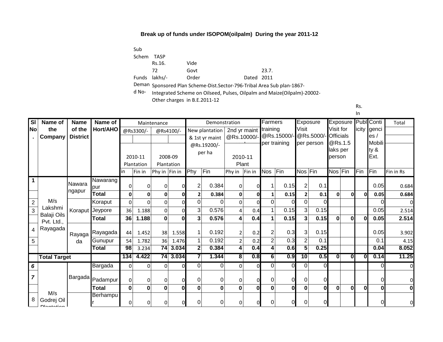Sub Schem TASP Funds lakhs/- Rs.16. 72 Vide Govt Order Dated 2011 23.7.

Deman Sponsored Plan Scheme-Dist.Sector-796-Tribal Area Sub plan-1867-

d No-Integrated Scheme on Oilseed, Pulses, Oilpalm and Maize(Oilpalm)-20002-

Other charges in B.E.2011-12

Rs.

| SI             | Name of                                | <b>Name</b>          | Name of  |                |              | Maintenance      |           |              | Demonstration  |                         |              | Farmers        |              | Exposure       |              |                  |              |              | Exposure Publ Conti  | Total     |
|----------------|----------------------------------------|----------------------|----------|----------------|--------------|------------------|-----------|--------------|----------------|-------------------------|--------------|----------------|--------------|----------------|--------------|------------------|--------------|--------------|----------------------|-----------|
| <b>No</b>      | the                                    | of the               | Hort/AHO |                | @Rs3300/-    |                  | @Rs4100/- |              | New plantation | 2nd yr maint            |              | training       |              | Visit          |              | Visit for        |              |              | licity genci         |           |
|                | Company                                | <b>District</b>      |          |                |              |                  |           |              | & 1st yr maint | @Rs.10000/              |              |                | @Rs.15000/-  |                | @Rs.5000/    | <b>Officials</b> | @Rs.1.5      |              | es/<br><b>Mobili</b> |           |
|                |                                        |                      |          |                |              |                  |           |              | @Rs.19200/-    |                         |              |                | per training |                | per person   | laks per         |              |              | ty &                 |           |
|                |                                        |                      |          |                | 2010-11      | 2008-09          |           |              | per ha         | 2010-11                 |              |                |              |                |              | person           |              |              | Ext.                 |           |
|                |                                        |                      |          |                | Plantation   | Plantation       |           |              |                | Plant                   |              |                |              |                |              |                  |              |              |                      |           |
|                |                                        |                      |          | in             | Fin in       | Phy in $ Fin$ in |           | Phy          | Fin            | Phy in                  | Fin in       | <b>Nos</b>     | Fin          | Nos Fin        |              | Nos Fin          |              | Fin          | Fin                  | Fin in Rs |
| 1              |                                        | Nawara               | Nawarang |                |              |                  |           |              |                |                         |              |                |              |                |              |                  |              |              |                      |           |
|                |                                        | ngapur               | pur      | 0              | $\Omega$     | 0                |           | 2            | 0.384          | 0                       |              | 1              | 0.15         | 2              | 0.1          |                  |              |              | 0.05                 | 0.684     |
|                |                                        |                      | Total    | 0              | 0            | 0                | 0         |              | 0.384          | $\mathbf{0}$            | Οl           | 1              | 0.15         |                | 0.1          | $\mathbf{0}$     | O            | O            | 0.05                 | 0.684     |
| $\overline{2}$ | M/s                                    |                      | Koraput  | $\overline{0}$ | $\Omega$     | 0                | $\Omega$  | $\Omega$     | 0              | $\Omega$                | $\Omega$     | 0              | 0            | 0              | $\Omega$     |                  |              |              | $\Omega$             |           |
| $\overline{3}$ | Lakshmi                                | Koraput <sup>1</sup> | Jeypore  | 36             | 1.188        | $\Omega$         | $\Omega$  | 3            | 0.576          | $\overline{4}$          | 0.4          | 1              | 0.15         | 3              | 0.15         |                  |              |              | 0.05                 | 2.514     |
|                | Balaji Oils<br>Pvt. Ltd.,              |                      | Total    | 36             | 1.188        | $\mathbf{0}$     | $\Omega$  | 3            | 0.576          | 4                       | 0.4          | 1              | 0.15         | 3              | 0.15         | $\bf{0}$         | $\mathbf{0}$ | $\Omega$     | 0.05                 | 2.514     |
|                | Rayagada                               | Rayaga               | Rayagada | 44             | 1.452        | 38               | 1.558     |              | 0.192          | $\overline{2}$          | 0.2          | 2              | 0.3          | 3              | 0.15         |                  |              |              | 0.05                 | 3.902     |
| 5              |                                        | da                   | Gunupur  | 54             | 1.782        | 36               | 1.476     |              | 0.192          | $\overline{2}$          | 0.2          | $\overline{2}$ | 0.3          | $\overline{2}$ | 0.1          |                  |              |              | 0.1                  | 4.15      |
|                |                                        |                      | Total    | 98             | 3.234        | 74               | 3.034     | $\mathbf{2}$ | 0.384          | 4                       | 0.4          | 4              | 0.6          | 5              | 0.25         |                  |              |              | 0.04                 | 8.052     |
|                | <b>Total Target</b>                    |                      |          | 134            | 4.422        | $\overline{74}$  | 3.034     |              | 1.344          | $\overline{\mathbf{8}}$ | 0.8          | 6 <sup>1</sup> | 0.9          | 10             | 0.5          | $\mathbf{0}$     | 0            | $\mathbf{0}$ | 0.14                 | 11.25     |
| 6              |                                        |                      | Bargada  | 0              | 0            | 0                | ΩI        | $\Omega$     | $\Omega$       | $\Omega$                | $\Omega$     | $\Omega$       | $\Omega$     | 0              | $\Omega$     |                  |              |              | $\Omega$             |           |
| $\overline{7}$ |                                        | <b>Bargada</b>       | Padampur | 0              | $\Omega$     | 0                |           | <sup>0</sup> | 0              | $\Omega$                | U            | 0              | 0            |                | $\Omega$     |                  |              |              | $\Omega$             |           |
|                |                                        |                      | Total    | $\bf{0}$       | $\mathbf{0}$ | 0                | $\bf{0}$  | 0            | $\bf{0}$       | 0                       | <sub>0</sub> | 0              | $\bf{0}$     | $\bf{0}$       | $\mathbf{0}$ | $\bf{0}$         | $\bf{0}$     | $\mathbf 0$  | $\mathbf{0}$         |           |
| 8              | M/s<br>Godrej Oil<br><b>Diantation</b> |                      | Berhampu | 0              | 0            | 0                | ΩI        | 0            | 0              | U                       |              | 0              | Ol           | 0              | $\Omega$     |                  |              |              | $\Omega$             |           |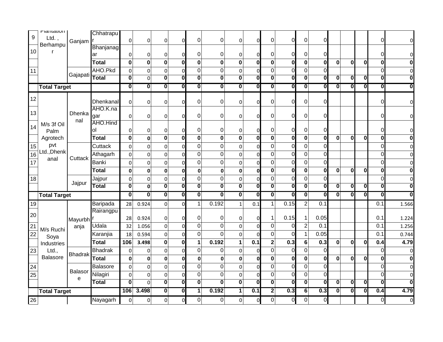| $\boldsymbol{9}$ | rianialion<br>Ltd.  |                | Chhatrapu          |                         |                         |                                             |                              |                              |                         |                                        |                                     |                                           |                         |                                     |                              |                         |                         |                         |                         |                         |
|------------------|---------------------|----------------|--------------------|-------------------------|-------------------------|---------------------------------------------|------------------------------|------------------------------|-------------------------|----------------------------------------|-------------------------------------|-------------------------------------------|-------------------------|-------------------------------------|------------------------------|-------------------------|-------------------------|-------------------------|-------------------------|-------------------------|
|                  | Berhampu            | Ganjam         |                    | 0                       | 0                       | 0                                           | 0                            | 0                            | $\mathbf 0$             | 0                                      | $\Omega$                            | $\pmb{0}$                                 | $\overline{0}$          | $\pmb{0}$                           | $\Omega$                     |                         |                         |                         | $\Omega$                | $\Omega$                |
| 10               |                     |                | <b>Bhanjanag</b>   | $\Omega$                |                         |                                             |                              | 0                            | 0                       |                                        |                                     | $\Omega$                                  | $\Omega$                |                                     | 0                            |                         |                         |                         | $\Omega$                | 0                       |
|                  |                     |                | ar<br><b>Total</b> | $\mathbf 0$             | 0<br>$\mathbf 0$        | 0<br>$\bf{0}$                               | 0<br>$\mathbf 0$             | $\bf{0}$                     | $\mathbf 0$             | 0<br>$\mathbf 0$                       | 0<br>$\bf{0}$                       | $\mathbf 0$                               | $\mathbf 0$             | 0<br>$\bf{0}$                       | $\mathbf 0$                  | $\mathbf 0$             | $\bf{0}$                | $\bf{0}$                | $\mathbf 0$             | 0                       |
|                  |                     |                | AHO.Pkd            |                         |                         |                                             |                              |                              | $\mathbf 0$             |                                        |                                     |                                           |                         |                                     |                              |                         |                         |                         | $\Omega$                |                         |
| 11               |                     | Gajapati       | <b>Total</b>       | 0<br>$\mathbf 0$        | 0<br>0                  | $\boldsymbol{0}$<br>$\overline{\mathbf{0}}$ | 0<br>$\overline{\mathbf{o}}$ | 0<br>$\overline{\mathbf{0}}$ | $\overline{\mathbf{0}}$ | $\mathbf 0$<br>$\overline{\mathbf{0}}$ | $\Omega$<br>$\overline{\mathbf{0}}$ | $\overline{0}$<br>$\overline{\mathbf{0}}$ | $\mathbf 0$<br>$\bf{0}$ | $\Omega$<br>$\overline{\mathbf{0}}$ | 0<br>$\overline{\mathbf{0}}$ | 0                       | $\overline{\mathbf{0}}$ | 0                       | $\bf{0}$                | 0<br>0                  |
|                  |                     |                |                    | $\overline{\mathbf{o}}$ | $\overline{\mathbf{0}}$ | $\overline{\mathbf{0}}$                     | 0                            | $\overline{\textbf{0}}$      | $\overline{\textbf{0}}$ | $\overline{\textbf{0}}$                | $\overline{\mathbf{0}}$             | $\overline{\mathbf{0}}$                   | $\overline{\mathbf{0}}$ | $\overline{\mathbf{0}}$             | 0                            | 0                       | $\overline{\mathbf{0}}$ | $\overline{\mathbf{0}}$ | $\bf{0}$                |                         |
|                  | <b>Total Target</b> |                |                    |                         |                         |                                             |                              |                              |                         |                                        |                                     |                                           |                         |                                     |                              |                         |                         |                         |                         |                         |
| 12               |                     |                | Dhenkanal          | $\mathbf 0$             | 0                       | $\pmb{0}$                                   | 0                            | 0                            | 0                       | 0                                      | $\Omega$                            | $\boldsymbol{0}$                          | $\overline{0}$          | $\mathbf 0$                         | 0                            |                         |                         |                         | $\Omega$                | $\overline{0}$          |
| 13               |                     |                | AHO.K.na           |                         |                         |                                             |                              |                              |                         |                                        |                                     |                                           |                         |                                     |                              |                         |                         |                         |                         |                         |
|                  |                     | Dhenka<br>nal  | gar                | $\mathbf{0}$            | 0                       | $\mathbf 0$                                 | 0                            | 0                            | 0                       | $\mathbf 0$                            | ი                                   | 0                                         | $\Omega$                | 0                                   | 0                            |                         |                         |                         | $\Omega$                | $\overline{0}$          |
| 14               | M/s 3f Oil          |                | AHO.Hind           |                         |                         |                                             |                              |                              |                         |                                        |                                     |                                           |                         |                                     |                              |                         |                         |                         |                         |                         |
|                  | Palm                |                | οl                 | $\Omega$                | 0                       | 0                                           | 0                            | 0                            | 0                       | 0                                      | 0                                   | 0                                         | $\Omega$                | 0                                   | 0                            |                         |                         |                         | $\Omega$                | $\Omega$                |
|                  | Agrotech            |                | <b>Total</b>       | $\mathbf 0$             | 0                       | $\bf{0}$                                    | $\bf{0}$                     | $\bf{0}$                     | $\mathbf 0$             | $\bf{0}$                               | $\bf{0}$                            | $\mathbf 0$                               | $\bf{0}$                | $\bf{0}$                            | $\mathbf 0$                  | 0                       | $\bf{0}$                | 0                       | 0                       | 0                       |
| 15               | pvt<br>Ltd., Dhenk  |                | Cuttack            | $\Omega$                | 0                       | $\boldsymbol{0}$                            | 0                            | 0                            | $\overline{0}$          | $\mathbf 0$                            | $\Omega$                            | $\mathbf 0$                               | $\overline{0}$          | $\mathbf 0$                         | 0                            |                         |                         |                         | $\Omega$                | $\Omega$                |
| 16               | anal                | Cuttack        | Athagarh           | $\mathbf 0$             | $\mathbf 0$             | $\boldsymbol{0}$                            | 0                            | 0                            | $\mathbf 0$             | $\mathbf 0$                            | $\Omega$                            | $\mathbf 0$                               | $\mathbf 0$             | $\mathbf 0$                         | $\mathbf 0$                  |                         |                         |                         | $\Omega$                | 0                       |
| 17               |                     |                | Banki              | $\mathbf{0}$            | 0                       | $\pmb{0}$                                   | 0                            | 0                            | $\mathbf 0$             | $\mathbf 0$                            | 0                                   | $\overline{0}$                            | $\mathbf 0$             | $\mathbf 0$                         | 0                            |                         |                         |                         | $\overline{0}$          | 0                       |
|                  |                     |                | <b>Total</b>       | $\mathbf{0}$            | 0                       | $\mathbf 0$                                 | 0                            | 0                            | $\mathbf 0$             | $\mathbf 0$                            | 0                                   | $\mathbf 0$                               | $\bf{0}$                | $\bf{0}$                            | $\pmb{0}$                    | 0                       | $\bf{0}$                | $\bf{0}$                | $\bf{0}$                | 0                       |
| 18               |                     | Jajpur         | Jajpur             | 0                       | $\Omega$                | $\mathbf 0$                                 | 0                            | 0                            | 0                       | $\mathbf 0$                            | $\mathbf{0}$                        | $\mathbf 0$                               | $\mathbf 0$             | $\mathbf 0$                         | 0                            |                         |                         |                         | $\Omega$                |                         |
|                  |                     |                | <b>Total</b>       | $\mathbf 0$             | 0                       | $\overline{\mathbf{0}}$                     | $\overline{\mathbf{0}}$      | $\overline{\mathbf{0}}$      | $\overline{\mathbf{0}}$ | $\overline{\textbf{0}}$                | $\overline{\mathbf{0}}$             | $\overline{\mathbf{0}}$                   | $\overline{\mathbf{0}}$ | $\overline{\mathbf{0}}$             | $\overline{\mathbf{0}}$      | $\overline{\mathbf{0}}$ | $\overline{\mathbf{0}}$ | $\overline{\mathbf{0}}$ | $\overline{\mathbf{0}}$ | $\overline{\mathbf{0}}$ |
|                  | <b>Total Target</b> |                |                    | $\overline{\mathbf{0}}$ | $\overline{\mathbf{0}}$ | $ {\bf 0} $                                 | 0                            | $\overline{\mathbf{0}}$      | $\overline{\mathbf{0}}$ | $\overline{\mathbf{0}}$                | O                                   | $ {\bf 0} $                               | $\overline{\mathbf{0}}$ | $\overline{\mathbf{0}}$             | Ō                            | $\overline{\mathbf{0}}$ | $\overline{\mathbf{0}}$ | O                       | Ō                       | 0                       |
| 19               |                     |                | Baripada           | 28                      | 0.924                   | 0                                           | $\mathbf 0$                  | $\mathbf{1}$                 | 0.192                   | $\mathbf{1}$                           | 0.1                                 | $\mathbf{1}$                              | 0.15                    | $\overline{c}$                      | 0.1                          |                         |                         |                         | 0.1                     | 1.566                   |
| 20               |                     |                | Rairangpu          |                         |                         |                                             |                              |                              |                         |                                        |                                     |                                           |                         |                                     |                              |                         |                         |                         |                         |                         |
|                  |                     | Mayurbh        |                    | 28                      | 0.924                   | 0                                           | 0                            | 0                            | 0                       | $\mathbf 0$                            | $\Omega$                            | -1                                        | 0.15                    | 1                                   | 0.05                         |                         |                         |                         | 0.1                     | 1.224                   |
| 21               | M/s Ruchi           | anja           | Udala              | 32                      | 1.056                   | $\pmb{0}$                                   | $\Omega$                     | 0                            | $\mathbf 0$             | $\mathbf 0$                            | $\Omega$                            | $\overline{0}$                            | $\overline{0}$          | $\overline{2}$                      | 0.1                          |                         |                         |                         | 0.1                     | 1.256                   |
| 22               | Soya                |                | Karanjia           | 18                      | 0.594                   | $\boldsymbol{0}$                            | 0                            | 0                            | $\overline{0}$          | $\mathbf 0$                            | $\Omega$                            | $\overline{0}$                            | $\overline{0}$          | $\mathbf{1}$                        | 0.05                         |                         |                         |                         | 0.1                     | 0.744                   |
|                  | Industries          |                | <b>Total</b>       | 106                     | 3.498                   | $\pmb{0}$                                   | $\mathbf 0$                  | 1                            | 0.192                   | $\mathbf{1}$                           | 0.1                                 | $\mathbf 2$                               | 0.3                     | 6                                   | 0.3                          | $\mathbf 0$             | $\bf{0}$                | $\bf{0}$                | 0.4                     | 4.79                    |
| 23               | Ltd.,               | <b>Bhadrak</b> | <b>Bhadrak</b>     | 0                       | 0                       | $\boldsymbol{0}$                            | 0                            | 0                            | $\pmb{0}$               | $\mathbf 0$                            | 0                                   | $\mathbf 0$                               | 0                       | 0                                   | 0                            |                         |                         |                         | $\Omega$                | 0                       |
|                  | Balasore            |                | <b>Total</b>       | $\mathbf{0}$            | 0                       | $\bf{0}$                                    | 0                            | 0                            | $\mathbf 0$             | $\mathbf{0}$                           | 0                                   | $\mathbf 0$                               | $\mathbf 0$             | $\bf{0}$                            | 0                            | $\mathbf{0}$            | $\boldsymbol{0}$        | $\bf{0}$                | $\bf{0}$                | 0                       |
| 24               |                     | <b>Balasor</b> | Balasore           | $\mathbf 0$             | 0                       | $\pmb{0}$                                   | 0                            | 0                            | $\overline{0}$          | $\mathbf 0$                            | $\Omega$                            | $\mathbf 0$                               | $\mathbf 0$             | $\mathbf 0$                         | 0                            |                         |                         |                         | $\Omega$                | $\overline{0}$          |
| 25               |                     | e              | Nilagiri           | $\mathbf 0$             | 0                       | $\pmb{0}$                                   | 0                            | 0                            | $\boldsymbol{0}$        | 0                                      | $\Omega$                            | $\overline{0}$                            | $\mathbf 0$             | $\overline{0}$                      | 0                            |                         |                         |                         | $\Omega$                | 0                       |
|                  |                     |                | <b>Total</b>       | $\bf{0}$                | $\Omega$                | $\overline{\mathbf{0}}$                     | $\overline{\mathbf{o}}$      | $\overline{\mathbf{0}}$      | $\overline{\mathbf{0}}$ | $\overline{\mathbf{0}}$                | $\overline{\mathbf{0}}$             | $\overline{\mathbf{0}}$                   | $\overline{\mathbf{0}}$ | $\overline{\mathbf{0}}$             | 0                            | $\overline{\mathbf{0}}$ | $\overline{\mathbf{0}}$ | $\overline{\mathbf{0}}$ | $\overline{\mathbf{0}}$ | $\overline{\mathbf{0}}$ |
|                  | <b>Total Target</b> |                |                    |                         |                         |                                             |                              |                              |                         |                                        |                                     |                                           |                         |                                     |                              |                         |                         |                         |                         |                         |
| 26               |                     |                | Nayagarh           | 106                     | 3.498                   | $ \mathbf{0} $                              | $\overline{\mathbf{0}}$      | 1<br>0                       | 0.192<br>$\pmb{0}$      | 1                                      | 0.1                                 | $\overline{2}$<br> 0                      | 0.3<br>$\overline{0}$   | $6\overline{6}$<br>0                | 0.3<br>$\mathbf 0$           | $\overline{\mathbf{0}}$ | $\mathbf{0}$            | $\overline{\mathbf{0}}$ | 0.4<br>$\overline{0}$   | 4.79                    |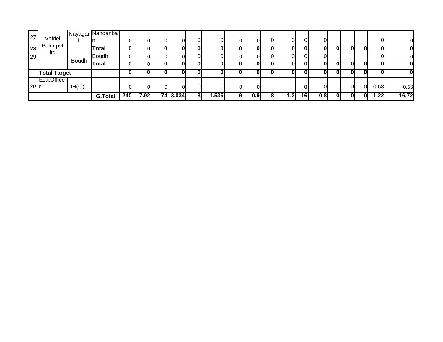|    |                     |       | <b>Nayagar</b> Nandanba |     |      |    |          |   |       |   |     |      |    |      |   |    |              |      |       |
|----|---------------------|-------|-------------------------|-----|------|----|----------|---|-------|---|-----|------|----|------|---|----|--------------|------|-------|
| 27 | Vaidei              |       |                         |     |      |    |          |   |       |   |     | ОI   | 0' | Οl   |   |    |              |      | 01    |
| 28 | Palm pvt<br>Itd     |       | <b>Total</b>            | 0   |      | u  | ΩI       |   |       |   |     | ΩI   | 0  | OI   | 0 | 01 | O            | 0    | 01    |
| 29 |                     | Boudh | Boudh                   |     |      |    |          |   |       |   |     | าเ   |    |      |   |    |              |      | 01    |
|    |                     |       | <b>Total</b>            | 0   |      | U  | ΩI       |   |       |   |     | ΩI   | 0  | 0Ι   | 0 | O  |              | 01   | 01    |
|    | <b>Total Target</b> |       | 0                       |     |      | ΩI |          |   |       |   | ΩI  |      |    | 0    | 0 |    | $\mathbf{0}$ | 01   |       |
|    | ⊺Estt.Office        |       |                         |     |      |    |          |   |       |   |     |      |    |      |   |    |              |      |       |
| 30 |                     | DH(O) |                         | ΩI  |      |    |          |   |       |   |     |      | 0  | ωı   |   |    | 01           | 0.68 | 0.68  |
|    |                     |       | <b>G.Total</b>          | 240 | 7.92 |    | 74 3.034 | 8 | 1.536 | 9 | 0.9 | 1.21 | 16 | 0.8I | 0 | 0  | 0l           | 1.22 | 16.72 |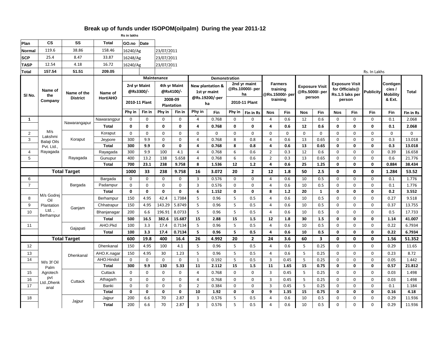|                   | Rs in lakhs                      |                                |                     |                           |                         |                                     |                                       |                                                    |                     |                |                                                                  |                              |                                                           |                  |                                                   |                           |                                                                      |                        |                                                 |              |
|-------------------|----------------------------------|--------------------------------|---------------------|---------------------------|-------------------------|-------------------------------------|---------------------------------------|----------------------------------------------------|---------------------|----------------|------------------------------------------------------------------|------------------------------|-----------------------------------------------------------|------------------|---------------------------------------------------|---------------------------|----------------------------------------------------------------------|------------------------|-------------------------------------------------|--------------|
| Plan              | <b>CS</b>                        | SS                             | <b>Total</b>        | GO.no                     | Date                    |                                     |                                       |                                                    |                     |                |                                                                  |                              |                                                           |                  |                                                   |                           |                                                                      |                        |                                                 |              |
| Normal            | 119.6                            | 38.86                          | 158.46              | 16240/Ag                  |                         | 23/07/2011                          |                                       |                                                    |                     |                |                                                                  |                              |                                                           |                  |                                                   |                           |                                                                      |                        |                                                 |              |
| <b>SCP</b>        | 25.4                             | 8.47                           | 33.87               | 16248/Ag                  |                         | 23/07/2011                          |                                       |                                                    |                     |                |                                                                  |                              |                                                           |                  |                                                   |                           |                                                                      |                        |                                                 |              |
| <b>TASP</b>       | 12.54                            | 4.18                           | 16.72               | 16240/Ag                  |                         | 23/07/2011                          |                                       |                                                    |                     |                |                                                                  |                              |                                                           |                  |                                                   |                           |                                                                      |                        |                                                 |              |
| <b>Total</b>      | 157.54                           | 51.51                          | 209.05              |                           |                         |                                     |                                       |                                                    |                     |                |                                                                  |                              |                                                           |                  |                                                   |                           |                                                                      | Rs. In Lakhs           |                                                 |              |
|                   |                                  |                                |                     |                           |                         | Maintenance                         |                                       | Demonstration                                      |                     |                |                                                                  |                              |                                                           |                  |                                                   |                           |                                                                      |                        |                                                 |              |
| SI <sub>No.</sub> | Name of<br>the<br>Company        | Name of the<br><b>District</b> | Name of<br>Hort/AHO | 2rd yr Maint<br>@Rs3300/- |                         | 4th yr Maint<br>@Rs4100/<br>2008-09 |                                       | New plantation &<br>1st yr maint<br>@Rs.19200/-per |                     |                | 2nd yr maint<br>@Rs.10000/- per<br>ha<br>2010-11 Plant<br>Phy in |                              | <b>Farmers</b><br>training<br>@Rs.15000/- per<br>training |                  | <b>Exposure Visit</b><br>@Rs.5000/- per<br>person |                           | <b>Exposure Visit</b><br>for Officials@<br>Rs.1.5 laks per<br>person |                        | Contigen<br>cies /<br><b>Mobility</b><br>& Ext. | <b>Total</b> |
|                   |                                  |                                |                     | Phy in                    | 2010-11 Plant<br>Fin in |                                     | <b>Plantation</b><br>Phy in<br>Fin in |                                                    | ha<br>Phy in<br>Fin |                |                                                                  |                              |                                                           |                  |                                                   |                           |                                                                      |                        | Fin                                             | Fin in Rs    |
| $\mathbf{1}$      |                                  |                                | Nawarangpur         | $\Omega$                  | $\Omega$                | $\Omega$                            | $\mathbf 0$                           | $\overline{4}$                                     | 0.768               | $\mathbf 0$    | Fin in Rs<br>$\mathbf 0$                                         | <b>Nos</b><br>$\overline{4}$ | Fin<br>0.6                                                | <b>Nos</b><br>12 | Fin<br>0.6                                        | <b>Nos</b><br>$\mathbf 0$ | Fin<br>$\mathbf 0$                                                   | <b>Fin</b><br>$\Omega$ | 0.1                                             | 2.068        |
|                   |                                  | Nawarangapur                   | <b>Total</b>        | $\mathbf{0}$              | $\mathbf{0}$            | 0                                   | 0                                     | 4                                                  | 0.768               | 0              | $\mathbf{0}$                                                     | 4                            | 0.6                                                       | 12               | 0.6                                               | $\mathbf{0}$              | 0                                                                    | $\mathbf{0}$           | 0.1                                             | 2.068        |
| $\overline{2}$    | M/s                              |                                | Koraput             | $\mathbf 0$               | $\mathbf 0$             | $\mathbf 0$                         | $\mathbf 0$                           | $\mathbf 0$                                        | $\mathbf 0$         | 0              | $\mathbf 0$                                                      | $\mathbf 0$                  | $\mathbf 0$                                               | 0                | $\mathbf 0$                                       | $\mathbf 0$               | $\mathbf 0$                                                          | $\mathbf 0$            | $\mathbf 0$                                     | 0            |
| 3                 | Lakshmi                          | Koraput                        | Jeypore             | 300                       | 9.9                     | $\mathbf 0$                         | $\mathbf 0$                           | $\overline{4}$                                     | 0.768               | 8              | 0.8                                                              | $\overline{4}$               | 0.6                                                       | 13               | 0.65                                              | $\mathbf 0$               | $\mathbf 0$                                                          | $\mathbf 0$            | 0.3                                             | 13.018       |
|                   | <b>Balaji Oils</b><br>Pvt. Ltd., |                                | <b>Total</b>        | 300                       | 9.9                     | $\mathbf{0}$                        | 0                                     | $\overline{a}$                                     | 0.768               | 8              | 0.8                                                              | 4                            | 0.6                                                       | 13               | 0.65                                              | 0                         | $\mathbf 0$                                                          | $\Omega$               | 0.3                                             | 13.018       |
| $\overline{4}$    | Rayagada                         |                                | Rayagada            | 300                       | 9.9                     | 100                                 | 4.1                                   | $\pmb{4}$                                          | 0.768               | 6              | 0.6                                                              | $\overline{2}$               | 0.3                                                       | 12               | 0.6                                               | $\mathbf 0$               | $\mathbf 0$                                                          | $\mathbf 0$            | 0.39                                            | 16.658       |
| 5                 |                                  | Rayagada                       | Gunupur             | 400                       | 13.2                    | 138                                 | 5.658                                 | $\overline{4}$                                     | 0.768               | 6              | 0.6                                                              | $\overline{2}$               | 0.3                                                       | 13               | 0.65                                              | $\mathbf 0$               | $\mathbf 0$                                                          | $\mathbf 0$            | 0.6                                             | 21.776       |
|                   |                                  |                                | <b>Total</b>        | 700                       | 23.1                    | 238                                 | 9.758                                 | 8                                                  | 1.536               | 12             | $1.2$                                                            | 4                            | 0.6                                                       | 25               | 1.25                                              | $\mathbf{0}$              | $\mathbf{0}$                                                         | $\Omega$               | 0.884                                           | 38.434       |
|                   | <b>Total Target</b>              |                                | 1000                | 33                        | 238                     | 9.758                               | 16                                    | 3.072                                              | 20                  | $\overline{2}$ | 12                                                               | 1.8                          | 50                                                        | 2.5              | $\mathbf 0$                                       | 0                         | $\mathbf 0$                                                          | 1.284                  | 53.52                                           |              |
| 6                 |                                  | Bargada                        | Bargada             | $\mathbf 0$               | $\mathbf 0$             | $\Omega$                            | $\mathbf 0$                           | 3                                                  | 0.576               | 0              | $\mathbf 0$                                                      | 4                            | 0.6                                                       | 10               | 0.5                                               | $\mathbf 0$               | $\mathbf 0$                                                          | $\mathbf 0$            | 0.1                                             | 1.776        |
| $\overline{7}$    |                                  |                                | Padampur            | $\mathbf 0$               | 0                       | $\mathbf 0$                         | $\mathbf 0$                           | $\overline{3}$                                     | 0.576               | 0              | $\mathbf 0$                                                      | $\overline{4}$               | 0.6                                                       | 10               | 0.5                                               | $\mathbf 0$               | $\mathbf 0$                                                          | $\mathbf 0$            | 0.1                                             | 1.776        |
|                   |                                  |                                | <b>Total</b>        | $\mathbf 0$               | $\mathbf 0$             | 0                                   | $\mathbf 0$                           | 6                                                  | 1.152               | $\mathbf 0$    | 0                                                                | 8                            | $1.2$                                                     | 20               | $\mathbf{1}$                                      | $\mathbf 0$               | 0                                                                    | $\mathbf 0$            | 0.2                                             | 3.552        |
| 8                 | M/s Godrej<br>Oil                | Ganjam                         | Berhampur           | 150                       | 4.95                    | 42.4                                | 1.7384                                | 5                                                  | 0.96                | 5              | 0.5                                                              | $\overline{4}$               | 0.6                                                       | 10               | 0.5                                               | $\mathbf 0$               | $\mathbf 0$                                                          | $\mathbf 0$            | 0.27                                            | 9.518        |
| 9                 | Plantation                       |                                | Chhatrapur          | 150                       | 4.95                    | 143.29                              | 5.8749                                | 5                                                  | 0.96                | 5              | 0.5                                                              | $\overline{4}$               | 0.6                                                       | 10               | 0.5                                               | $\mathbf 0$               | $\mathbf 0$                                                          | $\mathbf 0$            | 0.37                                            | 13.755       |
| 10                | Ltd.<br>Berhampur                |                                | Bhanjanagar         | 200                       | 6.6                     | 196.91                              | 8.0733                                | 5                                                  | 0.96                | 5              | 0.5                                                              | $\overline{4}$               | 0.6                                                       | 10               | 0.5                                               | $\mathbf 0$               | $\mathbf 0$                                                          | $\mathbf 0$            | 0.5                                             | 17.733       |
|                   |                                  |                                | <b>Total</b>        | 500                       | 16.5                    | 382.6                               | 15.687                                | 15                                                 | 2.88                | 15             | 1.5                                                              | 12                           | 1.8                                                       | 30               | 1.5                                               | 0                         | 0                                                                    | $\mathbf 0$            | 1.14                                            | 41.007       |
| 11                |                                  | Gajapati                       | AHO.Pkd             | 100                       | 3.3                     | 17.4                                | 0.7134                                | 5                                                  | 0.96                | 5              | 0.5                                                              | $\overline{4}$               | 0.6                                                       | 10               | 0.5                                               | $\mathbf 0$               | $\mathbf 0$                                                          | $\mathbf 0$            | 0.22                                            | 6.7934       |
|                   |                                  |                                | <b>Total</b>        | 100                       | 3.3                     | 17.4                                | 0.7134                                | 5                                                  | 0.96                | 5              | 0.5                                                              | $\overline{a}$               | 0.6                                                       | 10               | 0.5                                               | $\mathbf{0}$              | $\mathbf{0}$                                                         | $\mathbf{0}$           | 0.22                                            | 6.7934       |
|                   |                                  | <b>Total Target</b>            |                     | 600                       | 19.8                    | 400                                 | 16.4                                  | 26                                                 | 4.992               | 20             | $\overline{2}$                                                   | 24                           | 3.6                                                       | 60               | $\overline{\mathbf{3}}$                           | $\mathbf{0}$              | 0                                                                    | $\mathbf{0}$           | 1.56                                            | 51.352       |
| 12                |                                  |                                | Dhenkanal           | 150                       | 4.95                    | 100                                 | 4.1                                   | 5                                                  | 0.96                | 5              | 0.5                                                              | 4                            | 0.6                                                       | 5                | 0.25                                              | $\Omega$                  | $\mathbf 0$                                                          | $\mathbf 0$            | 0.29                                            | 11.65        |
| 13                |                                  | Dhenkanal                      | AHO.K.nagar         | 150                       | 4.95                    | 30                                  | 1.23                                  | 5                                                  | 0.96                | 5              | 0.5                                                              | $\overline{4}$               | 0.6                                                       | 5                | 0.25                                              | $\mathbf 0$               | $\mathbf 0$                                                          | $\mathbf 0$            | 0.23                                            | 8.72         |
| 14                | M/s 3f Oil                       |                                | AHO.Hindol          | $\mathbf 0$               | $\mathbf 0$             | $\mathbf 0$                         | $\mathbf 0$                           | $\mathbf{1}$                                       | 0.192               | 5              | 0.5                                                              | $\overline{3}$               | 0.45                                                      | 5                | 0.25                                              | $\mathbf 0$               | $\mathbf 0$                                                          | $\mathbf 0$            | 0.05                                            | 1.442        |
|                   | Palm                             |                                | <b>Total</b>        | 300                       | 9.9                     | 130                                 | 5.33                                  | 11                                                 | 2.112               | 15             | 1.5                                                              | 11                           | 1.65                                                      | 15               | 0.75                                              | $\mathbf{0}$              | $\mathbf 0$                                                          | $\mathbf 0$            | 0.57                                            | 21.812       |
| 15                | Agrotech                         |                                | Cuttack             | $\Omega$                  | $\mathbf 0$             | $\mathbf 0$                         | $\mathbf 0$                           | $\overline{4}$                                     | 0.768               | $\mathbf 0$    | $\mathbf 0$                                                      | $\overline{3}$               | 0.45                                                      | 5                | 0.25                                              | $\mathbf 0$               | $\mathbf 0$                                                          | $\mathbf 0$            | 0.03                                            | 1.498        |
| 16                | pvt<br>Ltd., Dhenk               | Cuttack                        | Athagarh            | $\mathbf 0$               | $\mathbf 0$             | $\mathbf 0$                         | $\mathbf 0$                           | $\overline{4}$                                     | 0.768               | 0              | $\mathbf 0$                                                      | $\overline{3}$               | 0.45                                                      | 5                | 0.25                                              | $\mathbf 0$               | $\mathbf 0$                                                          | $\mathbf 0$            | 0.03                                            | 1.498        |
| 17                | anal                             |                                | Banki               | $\mathbf 0$               | $\mathbf 0$             | $\mathbf 0$                         | $\mathbf 0$                           | $\overline{2}$                                     | 0.384               | 0              | $\mathbf 0$                                                      | $\overline{3}$               | 0.45                                                      | 5                | 0.25                                              | $\mathbf 0$               | $\mathbf 0$                                                          | $\mathbf 0$            | 0.1                                             | 1.184        |
|                   |                                  |                                | <b>Total</b>        | 0                         | $\mathbf{0}$            | 0                                   | $\mathbf 0$                           | 10                                                 | 1.92                | 0              | $\mathbf{0}$                                                     | 9                            | 1.35                                                      | 15               | 0.75                                              | $\mathbf{0}$              | $\mathbf{0}$                                                         | $\mathbf{0}$           | 0.16                                            | 4.18         |
| 18                |                                  | Jajpur                         | Jajpur              | 200                       | 6.6                     | 70                                  | 2.87                                  | 3                                                  | 0.576               | 5              | 0.5                                                              | $\overline{4}$               | 0.6                                                       | 10               | 0.5                                               | $\mathbf 0$               | $\mathbf 0$                                                          | $\Omega$               | 0.29                                            | 11.936       |
|                   |                                  |                                | <b>Total</b>        | 200                       | 6.6                     | 70                                  | 2.87                                  | $\overline{3}$                                     | 0.576               | 5              | 0.5                                                              | $\overline{a}$               | 0.6                                                       | 10               | 0.5                                               | $\mathbf 0$               | $\mathbf 0$                                                          | $\Omega$               | 0.29                                            | 11.936       |